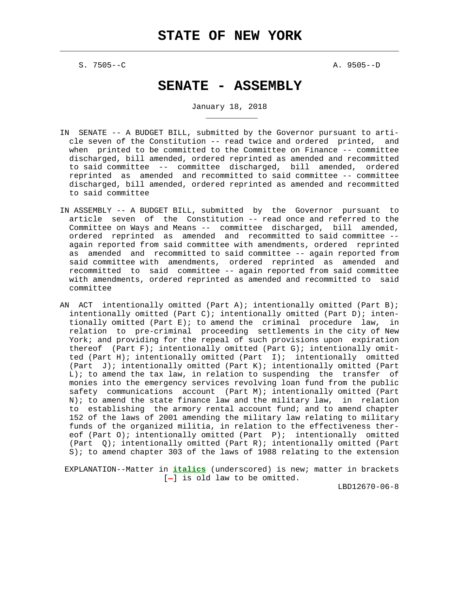$\mathcal{L}_\text{max} = \frac{1}{2} \sum_{i=1}^{n} \frac{1}{2} \sum_{i=1}^{n} \frac{1}{2} \sum_{i=1}^{n} \frac{1}{2} \sum_{i=1}^{n} \frac{1}{2} \sum_{i=1}^{n} \frac{1}{2} \sum_{i=1}^{n} \frac{1}{2} \sum_{i=1}^{n} \frac{1}{2} \sum_{i=1}^{n} \frac{1}{2} \sum_{i=1}^{n} \frac{1}{2} \sum_{i=1}^{n} \frac{1}{2} \sum_{i=1}^{n} \frac{1}{2} \sum_{i=1}^{n} \frac{1$ 

S. 7505--C A. 9505--D

\_\_\_\_\_\_\_\_\_\_\_

# **SENATE - ASSEMBLY**

January 18, 2018

- IN SENATE -- A BUDGET BILL, submitted by the Governor pursuant to arti cle seven of the Constitution -- read twice and ordered printed, and when printed to be committed to the Committee on Finance -- committee discharged, bill amended, ordered reprinted as amended and recommitted to said committee -- committee discharged, bill amended, ordered reprinted as amended and recommitted to said committee -- committee discharged, bill amended, ordered reprinted as amended and recommitted to said committee
- IN ASSEMBLY -- A BUDGET BILL, submitted by the Governor pursuant to article seven of the Constitution -- read once and referred to the Committee on Ways and Means -- committee discharged, bill amended, ordered reprinted as amended and recommitted to said committee - again reported from said committee with amendments, ordered reprinted as amended and recommitted to said committee -- again reported from said committee with amendments, ordered reprinted as amended and recommitted to said committee -- again reported from said committee with amendments, ordered reprinted as amended and recommitted to said committee
- AN ACT intentionally omitted (Part A); intentionally omitted (Part B); intentionally omitted (Part C); intentionally omitted (Part D); inten tionally omitted (Part E); to amend the criminal procedure law, in relation to pre-criminal proceeding settlements in the city of New York; and providing for the repeal of such provisions upon expiration thereof (Part F); intentionally omitted (Part G); intentionally omit ted (Part H); intentionally omitted (Part I); intentionally omitted (Part J); intentionally omitted (Part K); intentionally omitted (Part L); to amend the tax law, in relation to suspending the transfer of monies into the emergency services revolving loan fund from the public safety communications account (Part M); intentionally omitted (Part N); to amend the state finance law and the military law, in relation to establishing the armory rental account fund; and to amend chapter 152 of the laws of 2001 amending the military law relating to military funds of the organized militia, in relation to the effectiveness ther eof (Part O); intentionally omitted (Part P); intentionally omitted (Part Q); intentionally omitted (Part R); intentionally omitted (Part S); to amend chapter 303 of the laws of 1988 relating to the extension

 EXPLANATION--Matter in **italics** (underscored) is new; matter in brackets [-] is old law to be omitted.

LBD12670-06-8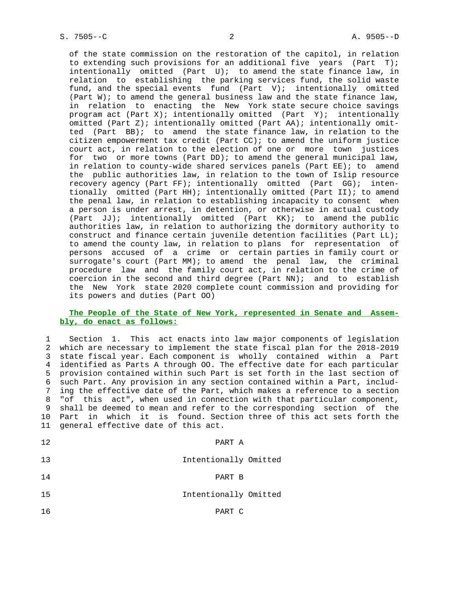of the state commission on the restoration of the capitol, in relation to extending such provisions for an additional five years (Part T); intentionally omitted (Part  $U$ ); to amend the state finance law, in relation to establishing the parking services fund, the solid waste fund, and the special events fund (Part V); intentionally omitted (Part  $W$ ); to amend the general business law and the state finance law, in relation to enacting the New York state secure choice savings program act (Part X); intentionally omitted (Part Y); intentionally omitted (Part  $Z$ ); intentionally omitted (Part AA); intentionally omit ted (Part BB); to amend the state finance law, in relation to the citizen empowerment tax credit (Part CC); to amend the uniform justice court act, in relation to the election of one or more town justices for two or more towns (Part DD); to amend the general municipal law, in relation to county-wide shared services panels (Part EE); to amend the public authorities law, in relation to the town of Islip resource recovery agency (Part FF); intentionally omitted (Part GG); inten tionally omitted (Part HH); intentionally omitted (Part II); to amend the penal law, in relation to establishing incapacity to consent when a person is under arrest, in detention, or otherwise in actual custody (Part JJ); intentionally omitted (Part KK); to amend the public authorities law, in relation to authorizing the dormitory authority to construct and finance certain juvenile detention facilities (Part LL); to amend the county law, in relation to plans for representation of persons accused of a crime or certain parties in family court or surrogate's court (Part MM); to amend the penal law, the criminal procedure law and the family court act, in relation to the crime of coercion in the second and third degree (Part  $NN$ ); and to establish the New York state 2020 complete count commission and providing for its powers and duties (Part OO)

## **The People of the State of New York, represented in Senate and Assem bly, do enact as follows:**

 1 Section 1. This act enacts into law major components of legislation 2 which are necessary to implement the state fiscal plan for the 2018-2019 3 state fiscal year. Each component is wholly contained within a Part 4 identified as Parts A through OO. The effective date for each particular 5 provision contained within such Part is set forth in the last section of 6 such Part. Any provision in any section contained within a Part, includ- 7 ing the effective date of the Part, which makes a reference to a section 8 "of this act", when used in connection with that particular component, 9 shall be deemed to mean and refer to the corresponding section of the 10 Part in which it is found. Section three of this act sets forth the 11 general effective date of this act.

| 12. | PART A                |  |
|-----|-----------------------|--|
| 13  | Intentionally Omitted |  |
| 14  | PART B                |  |
| 15  | Intentionally Omitted |  |
| 16  | PART C                |  |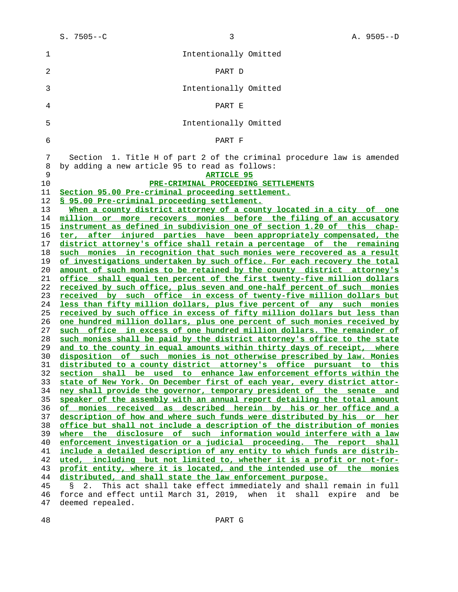| 1                    | Intentionally Omitted                                                                                                                                                                                                                                                                        |
|----------------------|----------------------------------------------------------------------------------------------------------------------------------------------------------------------------------------------------------------------------------------------------------------------------------------------|
| 2                    | PART D                                                                                                                                                                                                                                                                                       |
| 3                    | Intentionally Omitted                                                                                                                                                                                                                                                                        |
| 4                    | PART E                                                                                                                                                                                                                                                                                       |
| 5                    | Intentionally Omitted                                                                                                                                                                                                                                                                        |
| 6                    | PART F                                                                                                                                                                                                                                                                                       |
| 7                    | Section 1. Title H of part 2 of the criminal procedure law is amended                                                                                                                                                                                                                        |
| 8                    | by adding a new article 95 to read as follows:                                                                                                                                                                                                                                               |
| 9                    | <b>ARTICLE 95</b>                                                                                                                                                                                                                                                                            |
| 10                   | PRE-CRIMINAL PROCEEDING SETTLEMENTS                                                                                                                                                                                                                                                          |
| 11                   | Section 95.00 Pre-criminal proceeding settlement.                                                                                                                                                                                                                                            |
| 12                   | § 95.00 Pre-criminal proceeding settlement.                                                                                                                                                                                                                                                  |
| 13                   | When a county district attorney of a county located in a city of one                                                                                                                                                                                                                         |
| 14                   | million or more recovers monies before the filing of an accusatory                                                                                                                                                                                                                           |
| 15                   | instrument as defined in subdivision one of section 1.20 of this chap-                                                                                                                                                                                                                       |
| 16                   | ter, after injured parties have been appropriately compensated, the                                                                                                                                                                                                                          |
| 17                   | district attorney's office shall retain a percentage of the remaining                                                                                                                                                                                                                        |
| 18                   | such monies in recognition that such monies were recovered as a result                                                                                                                                                                                                                       |
| 19                   | of investigations undertaken by such office. For each recovery the total                                                                                                                                                                                                                     |
| 20                   | amount of such monies to be retained by the county district attorney's                                                                                                                                                                                                                       |
| 21                   | office shall equal ten percent of the first twenty-five million dollars                                                                                                                                                                                                                      |
| 22                   | received by such office, plus seven and one-half percent of such monies                                                                                                                                                                                                                      |
| 23                   | received by such office in excess of twenty-five million dollars but                                                                                                                                                                                                                         |
| 24                   | less than fifty million dollars, plus five percent of any such monies                                                                                                                                                                                                                        |
| 25                   | received by such office in excess of fifty million dollars but less than                                                                                                                                                                                                                     |
| 26                   | one hundred million dollars, plus one percent of such monies received by                                                                                                                                                                                                                     |
| 27                   | such office in excess of one hundred million dollars. The remainder of                                                                                                                                                                                                                       |
| 28                   | such monies shall be paid by the district attorney's office to the state                                                                                                                                                                                                                     |
| 29                   | and to the county in equal amounts within thirty days of receipt, where                                                                                                                                                                                                                      |
| 30                   | disposition of such monies is not otherwise prescribed by law. Monies                                                                                                                                                                                                                        |
| 31                   | distributed to a county district attorney's office pursuant to this                                                                                                                                                                                                                          |
| 32                   | section shall be used to enhance law enforcement efforts within the                                                                                                                                                                                                                          |
| 33                   | state of New York. On December first of each year, every district attor-                                                                                                                                                                                                                     |
| 34                   | ney shall provide the governor, temporary president of the senate and                                                                                                                                                                                                                        |
| 35                   | speaker of the assembly with an annual report detailing the total amount                                                                                                                                                                                                                     |
| 36                   | of monies received as described herein by his or her office and a                                                                                                                                                                                                                            |
| 37                   | description of how and where such funds were distributed by his or her                                                                                                                                                                                                                       |
| 38                   | office but shall not include a description of the distribution of monies                                                                                                                                                                                                                     |
| 39                   | where the disclosure of such information would interfere with a law                                                                                                                                                                                                                          |
| 40                   | enforcement investigation or a judicial proceeding. The report shall                                                                                                                                                                                                                         |
| 41                   | include a detailed description of any entity to which funds are distrib-                                                                                                                                                                                                                     |
| 42<br>43<br>44<br>45 | uted, including but not limited to, whether it is a profit or not-for-<br>profit entity, where it is located, and the intended use of the monies<br>distributed, and shall state the law enforcement purpose.<br>This act shall take effect immediately and shall remain in full<br>2.<br>S. |
| 46                   | force and effect until March 31, 2019, when it shall expire and be                                                                                                                                                                                                                           |

47 deemed repealed.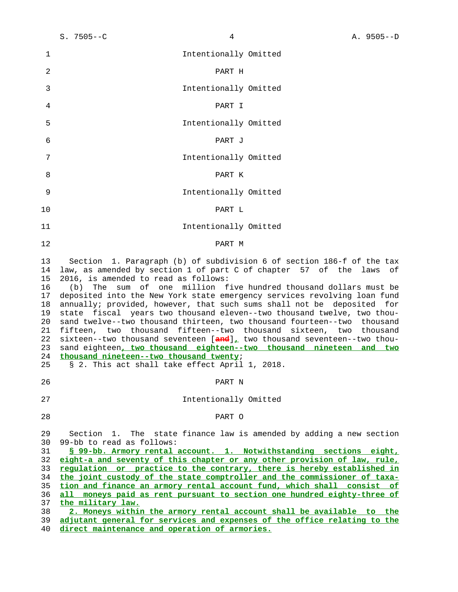| 1                                                                          | Intentionally Omitted                                                                                                                                                                                                                                                                                                                                                                                                                                                                                                                                                                                                                                                                                                                                                                                                                                                                                       |
|----------------------------------------------------------------------------|-------------------------------------------------------------------------------------------------------------------------------------------------------------------------------------------------------------------------------------------------------------------------------------------------------------------------------------------------------------------------------------------------------------------------------------------------------------------------------------------------------------------------------------------------------------------------------------------------------------------------------------------------------------------------------------------------------------------------------------------------------------------------------------------------------------------------------------------------------------------------------------------------------------|
| 2                                                                          | PART H                                                                                                                                                                                                                                                                                                                                                                                                                                                                                                                                                                                                                                                                                                                                                                                                                                                                                                      |
| 3                                                                          | Intentionally Omitted                                                                                                                                                                                                                                                                                                                                                                                                                                                                                                                                                                                                                                                                                                                                                                                                                                                                                       |
| 4                                                                          | PART I                                                                                                                                                                                                                                                                                                                                                                                                                                                                                                                                                                                                                                                                                                                                                                                                                                                                                                      |
| 5                                                                          | Intentionally Omitted                                                                                                                                                                                                                                                                                                                                                                                                                                                                                                                                                                                                                                                                                                                                                                                                                                                                                       |
| 6                                                                          | PART J                                                                                                                                                                                                                                                                                                                                                                                                                                                                                                                                                                                                                                                                                                                                                                                                                                                                                                      |
| 7                                                                          | Intentionally Omitted                                                                                                                                                                                                                                                                                                                                                                                                                                                                                                                                                                                                                                                                                                                                                                                                                                                                                       |
| 8                                                                          | PART K                                                                                                                                                                                                                                                                                                                                                                                                                                                                                                                                                                                                                                                                                                                                                                                                                                                                                                      |
| 9                                                                          | Intentionally Omitted                                                                                                                                                                                                                                                                                                                                                                                                                                                                                                                                                                                                                                                                                                                                                                                                                                                                                       |
| 10                                                                         | PART L                                                                                                                                                                                                                                                                                                                                                                                                                                                                                                                                                                                                                                                                                                                                                                                                                                                                                                      |
| 11                                                                         | Intentionally Omitted                                                                                                                                                                                                                                                                                                                                                                                                                                                                                                                                                                                                                                                                                                                                                                                                                                                                                       |
| 12                                                                         | PART M                                                                                                                                                                                                                                                                                                                                                                                                                                                                                                                                                                                                                                                                                                                                                                                                                                                                                                      |
| 13<br>14<br>15<br>16<br>17<br>18<br>19<br>20<br>21<br>22<br>23<br>24<br>25 | Section 1. Paragraph (b) of subdivision 6 of section 186-f of the tax<br>law, as amended by section 1 of part C of chapter 57 of the laws of<br>2016, is amended to read as follows:<br>sum of one million five hundred thousand dollars must be<br>(b)<br>The<br>deposited into the New York state emergency services revolving loan fund<br>annually; provided, however, that such sums shall not be deposited for<br>state fiscal years two thousand eleven--two thousand twelve, two thou-<br>sand twelve--two thousand thirteen, two thousand fourteen--two thousand<br>fifteen, two thousand fifteen--two thousand sixteen, two thousand<br>sixteen--two thousand seventeen $[\frac{and}{d}]_t$ two thousand seventeen--two thou-<br>sand eighteen, two thousand eighteen--two thousand nineteen and two<br>thousand nineteen--two thousand twenty;<br>§ 2. This act shall take effect April 1, 2018. |
| 26                                                                         | PART N                                                                                                                                                                                                                                                                                                                                                                                                                                                                                                                                                                                                                                                                                                                                                                                                                                                                                                      |
| 27                                                                         | Intentionally Omitted                                                                                                                                                                                                                                                                                                                                                                                                                                                                                                                                                                                                                                                                                                                                                                                                                                                                                       |
| 28                                                                         | PART O                                                                                                                                                                                                                                                                                                                                                                                                                                                                                                                                                                                                                                                                                                                                                                                                                                                                                                      |
| 29<br>30<br>31<br>32<br>33<br>34<br>35<br>36<br>37<br>38                   | Section 1. The state finance law is amended by adding a new section<br>99-bb to read as follows:<br>§ 99-bb. Armory rental account. 1. Notwithstanding sections eight,<br>eight-a and seventy of this chapter or any other provision of law, rule,<br>regulation or practice to the contrary, there is hereby established in<br>the joint custody of the state comptroller and the commissioner of taxa-<br>tion and finance an armory rental account fund, which shall consist of<br>all moneys paid as rent pursuant to section one hundred eighty-three of<br>the military law.<br>2. Moneys within the armory rental account shall be available to the                                                                                                                                                                                                                                                  |
| 39<br>40                                                                   | adjutant general for services and expenses of the office relating to the<br>direct maintenance and operation of armories.                                                                                                                                                                                                                                                                                                                                                                                                                                                                                                                                                                                                                                                                                                                                                                                   |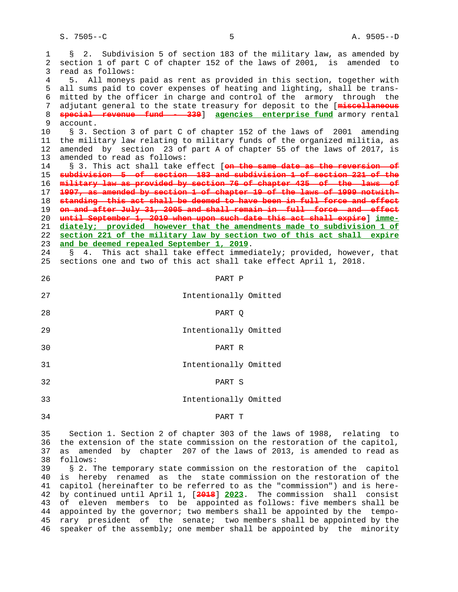S. 7505--C 5 A. 9505--D

 1 § 2. Subdivision 5 of section 183 of the military law, as amended by 2 section 1 of part C of chapter 152 of the laws of 2001, is amended to 3 read as follows: 4 5. All moneys paid as rent as provided in this section, together with 5 all sums paid to cover expenses of heating and lighting, shall be trans- 6 mitted by the officer in charge and control of the armory through the 7 adjutant general to the state treasury for deposit to the [**miscellaneous** 8 **special revenue fund - 339**] **agencies enterprise fund** armory rental account. 10 § 3. Section 3 of part C of chapter 152 of the laws of 2001 amending 11 the military law relating to military funds of the organized militia, as 12 amended by section 23 of part A of chapter 55 of the laws of 2017, is 13 amended to read as follows: 14 § 3. This act shall take effect [**on the same date as the reversion of** 15 **subdivision 5 of section 183 and subdivision 1 of section 221 of the** 16 **military law as provided by section 76 of chapter 435 of the laws of** 17 **1997, as amended by section 1 of chapter 19 of the laws of 1999 notwith-** 18 **standing this act shall be deemed to have been in full force and effect** 19 **on and after July 31, 2005 and shall remain in full force and effect** 20 **until September 1, 2019 when upon such date this act shall expire**] **imme-** 21 **diately; provided however that the amendments made to subdivision 1 of** 22 **section 221 of the military law by section two of this act shall expire** 23 **and be deemed repealed September 1, 2019**. 24 § 4. This act shall take effect immediately; provided, however, that 25 sections one and two of this act shall take effect April 1, 2018. 26 PART P 27 Intentionally Omitted 28 PART Q 29 Intentionally Omitted 30 PART R 31 Intentionally Omitted 32 PART S 33 Intentionally Omitted 34 PART T 35 Section 1. Section 2 of chapter 303 of the laws of 1988, relating to 36 the extension of the state commission on the restoration of the capitol, 37 as amended by chapter 207 of the laws of 2013, is amended to read as 38 follows:<br>39 § 2. T § 2. The temporary state commission on the restoration of the capitol 40 is hereby renamed as the state commission on the restoration of the 41 capitol (hereinafter to be referred to as the "commission") and is here- 42 by continued until April 1, [**2018**] **2023**. The commission shall consist 43 of eleven members to be appointed as follows: five members shall be 44 appointed by the governor; two members shall be appointed by the tempo- 45 rary president of the senate; two members shall be appointed by the 46 speaker of the assembly; one member shall be appointed by the minority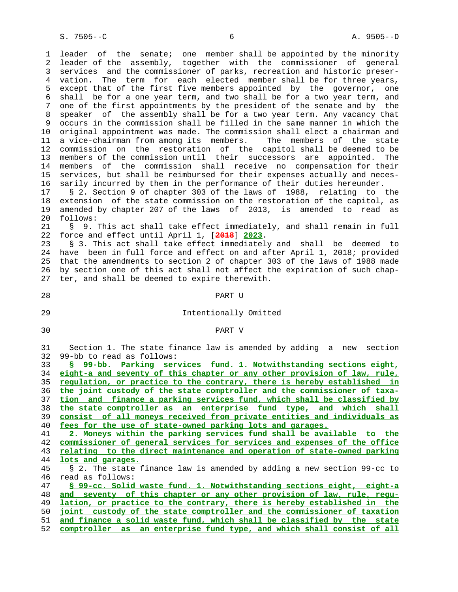1 leader of the senate; one member shall be appointed by the minority 2 leader of the assembly, together with the commissioner of general 3 services and the commissioner of parks, recreation and historic preser- 4 vation. The term for each elected member shall be for three years, 5 except that of the first five members appointed by the governor, one 6 shall be for a one year term, and two shall be for a two year term, and 7 one of the first appointments by the president of the senate and by the 8 speaker of the assembly shall be for a two year term. Any vacancy that 9 occurs in the commission shall be filled in the same manner in which the 10 original appointment was made. The commission shall elect a chairman and 11 a vice-chairman from among its members. The members of the state 12 commission on the restoration of the capitol shall be deemed to be 13 members of the commission until their successors are appointed. The 14 members of the commission shall receive no compensation for their 15 services, but shall be reimbursed for their expenses actually and neces- 16 sarily incurred by them in the performance of their duties hereunder. 17 § 2. Section 9 of chapter 303 of the laws of 1988, relating to the 18 extension of the state commission on the restoration of the capitol, as 19 amended by chapter 207 of the laws of 2013, is amended to read as 20 follows:

 21 § 9. This act shall take effect immediately, and shall remain in full 22 force and effect until April 1, [**2018**] **2023**.

 23 § 3. This act shall take effect immediately and shall be deemed to 24 have been in full force and effect on and after April 1, 2018; provided 25 that the amendments to section 2 of chapter 303 of the laws of 1988 made 26 by section one of this act shall not affect the expiration of such chap- 27 ter, and shall be deemed to expire therewith.

#### 28 PART U

- -

# 29 Intentionally Omitted

#### 30 PART V

 31 Section 1. The state finance law is amended by adding a new section 32 99-bb to read as follows:

**§ 99-bb. Parking services fund. 1. Notwithstanding sections eight, eight-a and seventy of this chapter or any other provision of law, rule, regulation, or practice to the contrary, there is hereby established in the joint custody of the state comptroller and the commissioner of taxa- tion and finance a parking services fund, which shall be classified by the state comptroller as an enterprise fund type, and which shall consist of all moneys received from private entities and individuals as fees for the use of state-owned parking lots and garages. 2. Moneys within the parking services fund shall be available to the**

 42 **commissioner of general services for services and expenses of the office** 43 **relating to the direct maintenance and operation of state-owned parking**

 <sup>44</sup> **lots and garages.**

 <sup>45 § 2.</sup> The state finance law is amended by adding a new section 99-cc to 46 read as follows:

 <sup>47</sup> **§ 99-cc. Solid waste fund. 1. Notwithstanding sections eight, eight-a** 48 **and seventy of this chapter or any other provision of law, rule, regu-** 49 **lation, or practice to the contrary, there is hereby established in the** 50 **joint custody of the state comptroller and the commissioner of taxation** 51 **and finance a solid waste fund, which shall be classified by the state** 52 **comptroller as an enterprise fund type, and which shall consist of all**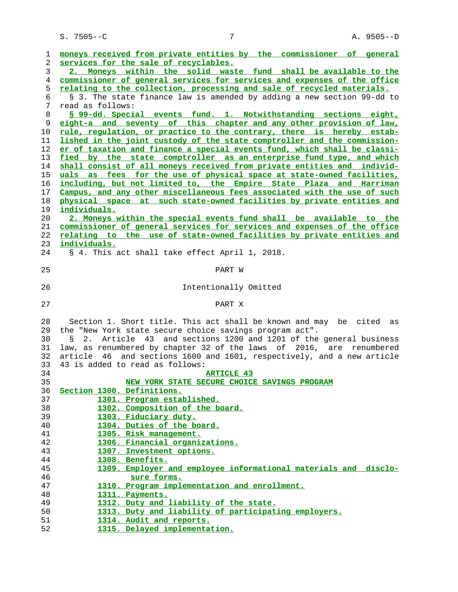| 1              | moneys received from private entities by the commissioner of general      |
|----------------|---------------------------------------------------------------------------|
| $\overline{2}$ | services for the sale of recyclables.                                     |
| 3              | 2. Moneys within the solid waste fund shall be available to the           |
| 4              | commissioner of general services for services and expenses of the office  |
| 5              | relating to the collection, processing and sale of recycled materials.    |
| 6              | § 3. The state finance law is amended by adding a new section 99-dd to    |
| 7              | read as follows:                                                          |
| 8              | § 99-dd. Special events fund. 1. Notwithstanding sections eight,          |
| 9              | eight-a and seventy of this chapter and any other provision of law,       |
| 10             | rule, requlation, or practice to the contrary, there is hereby estab-     |
| 11             | lished in the joint custody of the state comptroller and the commission-  |
| 12             | er of taxation and finance a special events fund, which shall be classi-  |
| 13             | fied by the state comptroller as an enterprise fund type, and which       |
| 14             | shall consist of all moneys received from private entities and individ-   |
| 15             | uals as fees for the use of physical space at state-owned facilities,     |
|                |                                                                           |
| 16             | including, but not limited to, the Empire State Plaza and Harriman        |
| 17             | Campus, and any other miscellaneous fees associated with the use of such  |
| 18             | physical space at such state-owned facilities by private entities and     |
| 19             | individuals.                                                              |
| 20             | 2. Moneys within the special events fund shall be available to the        |
| 21             | commissioner of general services for services and expenses of the office  |
| 22             | relating to the use of state-owned facilities by private entities and     |
| 23             | individuals.                                                              |
| 24             | § 4. This act shall take effect April 1, 2018.                            |
|                |                                                                           |
| 25             | PART W                                                                    |
|                |                                                                           |
| 26             | Intentionally Omitted                                                     |
|                |                                                                           |
| 27             | PART X                                                                    |
|                |                                                                           |
| 28             | Section 1. Short title. This act shall be known and may be cited as       |
| 29             | the "New York state secure choice savings program act".                   |
| 30             | Article 43 and sections 1200 and 1201 of the general business<br>Ş.<br>2. |
| 31             | law, as renumbered by chapter 32 of the laws of 2016, are renumbered      |
| 32             | article 46 and sections 1600 and 1601, respectively, and a new article    |
| 33             | 43 is added to read as follows:                                           |
| 34             | <b>ARTICLE 43</b>                                                         |
| 35             | NEW YORK STATE SECURE CHOICE SAVINGS PROGRAM                              |
| 36             | Section 1300. Definitions.                                                |
| 37             | 1301. Program established.                                                |
| 38             | 1302. Composition of the board.                                           |
| 39             | 1303. Fiduciary duty.                                                     |
| 40             | 1304. Duties of the board.                                                |
| 41             | 1305. Risk management.                                                    |
| 42             | 1306. Financial organizations.                                            |
| 43             | 1307. Investment options.                                                 |
| 44             | 1308. Benefits.                                                           |
| 45             | 1309. Employer and employee informational materials and disclo-           |
| 46             | sure forms.                                                               |
| 47             | 1310. Program implementation and enrollment.                              |
| 48             | 1311. Payments.                                                           |
| 49             |                                                                           |
|                | 1312. Duty and liability of the state.                                    |
| 50             | 1313. Duty and liability of participating employers.                      |
| 51             | 1314. Audit and reports.                                                  |

**1315. Delayed implementation.**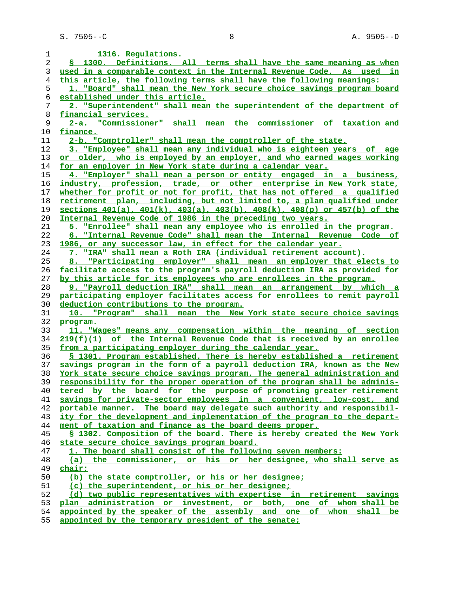| 1              | 1316. Requlations.                                                                                                                    |
|----------------|---------------------------------------------------------------------------------------------------------------------------------------|
| $\overline{2}$ | § 1300. Definitions. All terms shall have the same meaning as when                                                                    |
| 3              | used in a comparable context in the Internal Revenue Code. As used in                                                                 |
| $\overline{4}$ | this article, the following terms shall have the following meanings:                                                                  |
| 5              | 1. "Board" shall mean the New York secure choice savings program board                                                                |
| 6              | established under this article.                                                                                                       |
| 7              | 2. "Superintendent" shall mean the superintendent of the department of                                                                |
| 8              | financial services.                                                                                                                   |
| 9              | 2-a. "Commissioner" shall mean<br>the commissioner of taxation and                                                                    |
| 10             | finance.                                                                                                                              |
| 11             | 2-b. "Comptroller" shall mean the comptroller of the state.                                                                           |
| 12             | 3. "Employee" shall mean any individual who is eighteen years of age                                                                  |
| 13             | or older, who is employed by an employer, and who earned wages working                                                                |
| 14             | for an employer in New York state during a calendar year.                                                                             |
| 15             | 4. "Employer" shall mean a person or entity engaged in a business,                                                                    |
| 16             | industry, profession, trade, or other enterprise in New York state,                                                                   |
|                |                                                                                                                                       |
| 17             | whether for profit or not for profit, that has not offered a qualified                                                                |
| 18             | retirement plan, including, but not limited to, a plan qualified under                                                                |
| 19             | sections 401(a), 401(k), 403(a), 403(b), 408(k), 408(p) or 457(b) of the                                                              |
| 20             | Internal Revenue Code of 1986 in the preceding two years.                                                                             |
| 21             | 5. "Enrollee" shall mean any employee who is enrolled in the program.                                                                 |
| 22             | 6. "Internal Revenue Code" shall mean the Internal Revenue Code of                                                                    |
| 23             | 1986, or any successor law, in effect for the calendar year.                                                                          |
| 24             | <u>7. "IRA" shall mean a Roth IRA (individual retirement account).</u>                                                                |
| 25             | 8. "Participating employer" shall mean an employer that elects to                                                                     |
| 26             | facilitate access to the program's payroll deduction IRA as provided for                                                              |
| 27             | by this article for its employees who are enrollees in the program.                                                                   |
| 28             | 9. "Payroll deduction IRA" shall mean an arrangement by which a                                                                       |
| 29             | participating employer facilitates access for enrollees to remit payroll                                                              |
| 30             | deduction contributions to the program.                                                                                               |
| 31             | 10. "Program" shall mean the New York state secure choice savings                                                                     |
| 32             | program.                                                                                                                              |
| 33             | 11. "Wages" means any compensation within the meaning of section                                                                      |
| 34             | 219(f)(1) of the Internal Revenue Code that is received by an enrollee                                                                |
| 35             | from a participating employer during the calendar year.                                                                               |
| 36             | § 1301. Program established. There is hereby established a retirement                                                                 |
| 37             | savings program in the form of a payroll deduction IRA, known as the New                                                              |
| 38             | York state secure choice savings program. The general administration and                                                              |
| 39             | responsibility for the proper operation of the program shall be adminis-                                                              |
| 40             | tered by the board for the purpose of promoting greater retirement                                                                    |
| 41             | savings for private-sector employees in a convenient, low-cost, and                                                                   |
| 42             | portable manner. The board may delegate such authority and responsibil-                                                               |
| 43             | ity for the development and implementation of the program to the depart-                                                              |
| 44             | ment of taxation and finance as the board deems proper.                                                                               |
| 45             | § 1302. Composition of the board. There is hereby created the New York                                                                |
|                | state secure choice savings program board.                                                                                            |
| 46             |                                                                                                                                       |
|                |                                                                                                                                       |
| 47             | 1. The board shall consist of the following seven members:                                                                            |
| 48             | (a) the commissioner, or his or her designee, who shall serve as                                                                      |
| 49             | <u>chair;</u>                                                                                                                         |
| 50             | (b) the state comptroller, or his or her designee;                                                                                    |
| 51             | (c) the superintendent, or his or her designee;                                                                                       |
| 52             | (d) two public representatives with expertise in retirement savings                                                                   |
| 53<br>54       | plan administration or investment, or both, one of whom shall be<br>appointed by the speaker of the assembly and one of whom shall be |

**appointed by the temporary president of the senate;**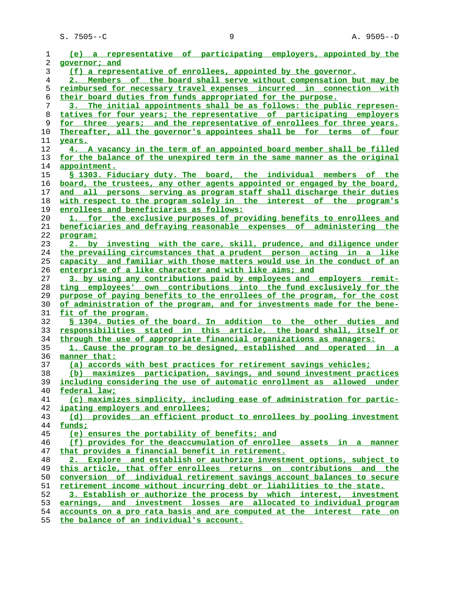| 1              | (e) a representative of participating employers, appointed by the                                                        |
|----------------|--------------------------------------------------------------------------------------------------------------------------|
| 2              | governor; and                                                                                                            |
| 3              | (f) a representative of enrollees, appointed by the governor.                                                            |
| $\overline{4}$ | 2. Members of the board shall serve without compensation but may be                                                      |
| 5              | reimbursed for necessary travel expenses incurred in connection with                                                     |
| 6              | their board duties from funds appropriated for the purpose.                                                              |
| 7              | 3. The initial appointments shall be as follows: the public represen-                                                    |
| 8              | tatives for four years; the representative of participating employers                                                    |
| 9              | for three years; and the representative of enrollees for three years.                                                    |
| 10             | Thereafter, all the governor's appointees shall be for terms of four                                                     |
| 11             | years.                                                                                                                   |
| 12             | 4. A vacancy in the term of an appointed board member shall be filled                                                    |
| 13             | for the balance of the unexpired term in the same manner as the original                                                 |
| 14             | appointment.                                                                                                             |
| 15             | § 1303. Fiduciary duty. The board, the individual members of the                                                         |
| 16             | board, the trustees, any other agents appointed or engaged by the board,                                                 |
| 17             | and all persons serving as program staff shall discharge their duties                                                    |
| 18             | with respect to the program solely in the interest of the program's                                                      |
| 19             | enrollees and beneficiaries as follows:                                                                                  |
| 20             | 1. for the exclusive purposes of providing benefits to enrollees and                                                     |
| 21             | beneficiaries and defraying reasonable expenses of administering the                                                     |
| 22             | program;                                                                                                                 |
| 23             | 2. by investing with the care, skill, prudence, and diligence under                                                      |
| 24             | the prevailing circumstances that a prudent person acting in a like                                                      |
| 25             | capacity and familiar with those matters would use in the conduct of an                                                  |
| 26             | enterprise of a like character and with like aims; and                                                                   |
| 27             | 3. by using any contributions paid by employees and employers remit-                                                     |
| 28             | ting employees' own contributions into the fund exclusively for the                                                      |
| 29             | purpose of paying benefits to the enrollees of the program, for the cost                                                 |
| 30             | of administration of the program, and for investments made for the bene-                                                 |
| 31             | fit of the program.                                                                                                      |
| 32             | \$ 1304. Duties of the board. In addition to the other duties and                                                        |
| 33             | responsibilities stated in this article, the board shall, itself or                                                      |
| 34             | through the use of appropriate financial organizations as managers:                                                      |
| 35             | 1. Cause the program to be designed, established and operated in a                                                       |
| 36             | manner that:                                                                                                             |
| 37             | (a) accords with best practices for retirement savings vehicles;                                                         |
| 38             | (b) maximizes participation, savings, and sound investment practices                                                     |
| 39             | including considering the use of automatic enrollment as allowed under                                                   |
| 40             | federal law;                                                                                                             |
| 41             | (c) maximizes simplicity, including ease of administration for partic-                                                   |
| 42             | ipating employers and enrollees;                                                                                         |
| 43             | (d) provides an efficient product to enrollees by pooling investment                                                     |
| 44             | funds;                                                                                                                   |
| 45             | (e) ensures the portability of benefits; and                                                                             |
| 46             | (f) provides for the deaccumulation of enrollee assets in a manner                                                       |
| 47<br>48       | that provides a financial benefit in retirement.<br>2. Explore and establish or authorize investment options, subject to |
| 49             | this article, that offer enrollees returns on contributions and the                                                      |
| 50             | conversion of individual retirement savings account balances to secure                                                   |
| 51             | retirement income without incurring debt or liabilities to the state.                                                    |
| 52             | 3. Establish or authorize the process by which interest, investment                                                      |
| 53             | earnings, and investment losses are allocated to individual program                                                      |
| 54             | accounts on a pro rata basis and are computed at the interest rate on                                                    |
|                |                                                                                                                          |

**the balance of an individual's account.**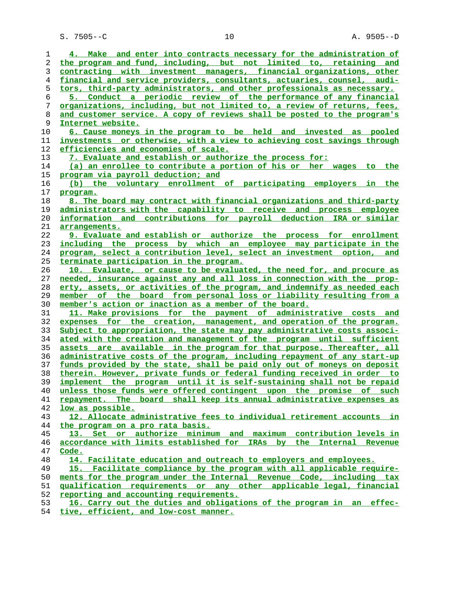| 1  | 4. Make and enter into contracts necessary for the administration of     |
|----|--------------------------------------------------------------------------|
| 2  | the program and fund, including, but not limited to, retaining and       |
| 3  | contracting with investment managers, financial organizations, other     |
| 4  | financial and service providers, consultants, actuaries, counsel, audi-  |
| 5  | tors, third-party administrators, and other professionals as necessary.  |
| 6  | 5. Conduct a periodic review of the performance of any financial         |
| 7  | organizations, including, but not limited to, a review of returns, fees, |
| 8  | and customer service. A copy of reviews shall be posted to the program's |
| 9  | Internet website.                                                        |
| 10 | 6. Cause moneys in the program to be held and invested as pooled         |
| 11 | investments or otherwise, with a view to achieving cost savings through  |
| 12 | efficiencies and economies of scale.                                     |
| 13 | 7. Evaluate and establish or authorize the process for:                  |
| 14 | (a) an enrollee to contribute a portion of his or her wages to the       |
| 15 | program via payroll deduction; and                                       |
| 16 | (b) the voluntary enrollment of participating employers in the           |
| 17 | program.                                                                 |
| 18 | 8. The board may contract with financial organizations and third-party   |
| 19 | administrators with the capability to receive and process employee       |
| 20 | information and contributions for payroll deduction IRA or similar       |
| 21 | arrangements.                                                            |
| 22 | 9. Evaluate and establish or authorize the process for enrollment        |
| 23 | including the process by which an employee may participate in the        |
| 24 | program, select a contribution level, select an investment option, and   |
| 25 | terminate participation in the program.                                  |
| 26 | 10. Evaluate, or cause to be evaluated, the need for, and procure as     |
| 27 | needed, insurance against any and all loss in connection with the prop-  |
| 28 | erty, assets, or activities of the program, and indemnify as needed each |
| 29 | member of the board from personal loss or liability resulting from a     |
| 30 | member's action or inaction as a member of the board.                    |
| 31 | 11. Make provisions for the payment of administrative costs and          |
| 32 | expenses for the creation, management, and operation of the program.     |
| 33 | Subject to appropriation, the state may pay administrative costs associ- |
| 34 | ated with the creation and management of the program until sufficient    |
| 35 | assets are available in the program for that purpose. Thereafter, all    |
| 36 | administrative costs of the program, including repayment of any start-up |
| 37 | funds provided by the state, shall be paid only out of moneys on deposit |
| 38 | therein. However, private funds or federal funding received in order to  |
| 39 | implement the program until it is self-sustaining shall not be repaid    |
| 40 | unless those funds were offered contingent upon the promise of such      |
| 41 | repayment. The board shall keep its annual administrative expenses as    |
| 42 | low as possible.                                                         |
| 43 | 12. Allocate administrative fees to individual retirement accounts in    |
| 44 | the program on a pro rata basis.                                         |
| 45 | 13. Set or authorize minimum and maximum contribution levels in          |
| 46 | accordance with limits established for IRAs by the Internal Revenue      |
| 47 | Code.                                                                    |
| 48 | 14. Facilitate education and outreach to employers and employees.        |
| 49 | 15. Facilitate compliance by the program with all applicable require-    |
| 50 | ments for the program under the Internal Revenue Code, including tax     |
| 51 | gualification requirements or any other applicable legal, financial      |
| 52 | reporting and accounting requirements.                                   |
| 53 | 16. Carry out the duties and obligations of the program in an effec-     |

**tive, efficient, and low-cost manner.**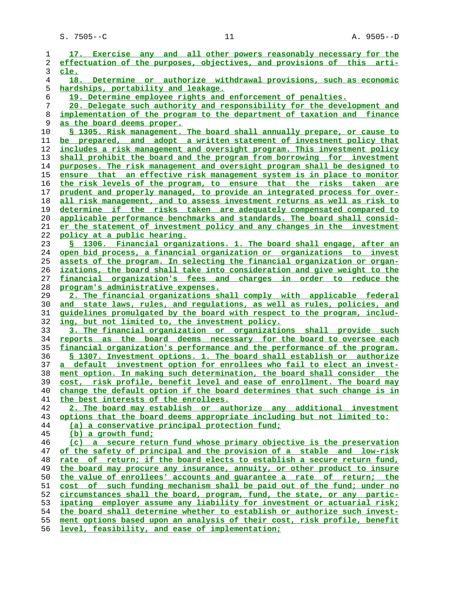S. 7505--C 11 2008 11 2009 11

| 1              | 17. Exercise any and all other powers reasonably necessary for the              |
|----------------|---------------------------------------------------------------------------------|
| 2              | effectuation of the purposes, objectives, and provisions of this arti-          |
| 3              | cle.                                                                            |
| $\overline{4}$ | 18. Determine or authorize withdrawal provisions, such as economic              |
| 5              | hardships, portability and leakage.                                             |
| 6              | 19. Determine employee rights and enforcement of penalties.                     |
| 7              | 20. Delegate such authority and responsibility for the development and          |
| 8              | implementation of the program to the department of taxation and finance         |
| 9              | as the board deems proper.                                                      |
| 10             | <u>S 1305. Risk management. The board shall annually prepare, or cause to</u>   |
| 11             | be prepared, and adopt a written statement of investment policy that            |
|                |                                                                                 |
| 12             | includes a risk management and oversight program. This investment policy        |
| 13             | shall prohibit the board and the program from borrowing for investment          |
| 14             | purposes. The risk management and oversight program shall be designed to        |
| 15             | ensure that an effective risk management system is in place to monitor          |
| 16             | the risk levels of the program, to ensure that the risks taken are              |
| 17             | prudent and properly managed, to provide an integrated process for over-        |
| 18             | all risk management, and to assess investment returns as well as risk to        |
| 19             | determine if the risks taken are adequately compensated compared to             |
| 20             | applicable performance benchmarks and standards. The board shall consid-        |
| 21             | er the statement of investment policy and any changes in the investment         |
| 22             | <u>policy at a public hearing.</u>                                              |
| 23             | § 1306. Financial organizations. 1. The board shall engage, after an            |
| 24             | open bid process, a financial organization or organizations to invest           |
| 25             | assets of the program. In selecting the financial organization or organ-        |
| 26             | izations, the board shall take into consideration and give weight to the        |
| 27             | financial organization's fees and charges in order to reduce-the                |
| 28             | program's administrative expenses.                                              |
| 29             | 2. The financial organizations shall comply with applicable federal             |
| 30             | and state laws, rules, and regulations, as well as rules, policies, and         |
| 31             | <u>quidelines promulgated by the board with respect to the program, includ-</u> |
| 32             | ing, but not limited to, the investment policy.                                 |
| 33             | 3. The financial organization or organizations shall provide such               |
| 34             | reports as the board deems necessary for the board to oversee each              |
| 35             | financial organization's performance and the performance of the program.        |
| 36             | § 1307. Investment options. 1. The board shall establish or authorize           |
| 37             | a default investment option for enrollees who fail to elect an invest-          |
| 38             | ment option. In making such determination, the board shall consider the         |
| 39             | cost, risk profile, benefit level and ease of enrollment. The board may         |
| 40             | change the default option if the board determines that such change is in        |
| 41             | the best interests of the enrollees.                                            |
| 42             | 2. The board may establish or authorize any additional investment               |
| 43             | options that the board deems appropriate including but not limited to:          |
| 44             | (a) a conservative principal protection fund;                                   |
| 45             | (b) a growth fund;                                                              |
| 46             | (c) a secure return fund whose primary objective is the preservation            |
| 47             | of the safety of principal and the provision of a stable and low-risk           |
| 48             | rate of return; if the board elects to establish a secure return fund,          |
| 49             | the board may procure any insurance, annuity, or other product to insure        |
| 50             | the value of enrollees' accounts and quarantee a rate of return; the            |
|                | cost of such funding mechanism shall be paid out of the fund; under no          |
| 51             | circumstances shall the board, program, fund, the state, or any partic-         |
| 52             |                                                                                 |
| 53             | ipating employer assume any liability for investment or actuarial risk;         |
| 54             | the board shall determine whether to establish or authorize such invest-        |
| 55             | ment options based upon an analysis of their cost, risk profile, benefit        |
| 56             | level, feasibility, and ease of implementation;                                 |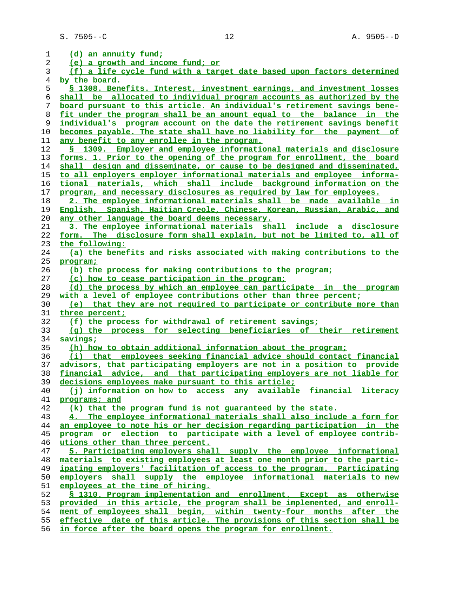| 1              | (d) an annuity fund;                                                     |
|----------------|--------------------------------------------------------------------------|
| 2              | (e) a growth and income fund; or                                         |
| 3              | (f) a life cycle fund with a target date based upon factors determined   |
| $\overline{4}$ | by the board.                                                            |
| 5              | § 1308. Benefits. Interest, investment earnings, and investment losses   |
|                |                                                                          |
| 6              | shall be allocated to individual program accounts as authorized by the   |
| 7              | board pursuant to this article. An individual's retirement savings bene- |
| 8              | fit under the program shall be an amount equal to the balance in the     |
| 9              | individual's program account on the date the retirement savings benefit  |
| 10             | becomes payable. The state shall have no liability for the payment of    |
| 11             | any benefit to any enrollee in the program.                              |
| 12             | § 1309. Employer and employee informational materials and disclosure     |
| 13             | forms. 1. Prior to the opening of the program for enrollment, the board  |
| 14             | shall design and disseminate, or cause to be designed and disseminated,  |
| 15             | to all employers employer informational materials and employee informa-  |
| 16             | tional materials, which shall include background information on the      |
| 17             | program, and necessary disclosures as required by law for employees.     |
| 18             | 2. The employee informational materials shall be made available in       |
|                |                                                                          |
| 19             | English, Spanish, Haitian Creole, Chinese, Korean, Russian, Arabic, and  |
| 20             | any other language the board deems necessary.                            |
| 21             | 3. The employee informational materials shall include a disclosure       |
| 22             | form. The disclosure form shall explain, but not be limited to, all of   |
| 23             | the following:                                                           |
| 24             | (a) the benefits and risks associated with making contributions to the   |
| 25             | program;                                                                 |
| 26             | (b) the process for making contributions to the program;                 |
| 27             | (c) how to cease participation in the program;                           |
| 28             | (d) the process by which an employee can participate in the program      |
| 29             | with a level of employee contributions other than three percent;         |
| 30             | (e) that they are not required to participate or contribute more than    |
| 31             | three percent;                                                           |
| 32             | (f) the process for withdrawal of retirement savings;                    |
| 33             | (g) the process for selecting beneficiaries of their retirement          |
| 34             | savings;                                                                 |
| 35             | (h) how to obtain additional information about the program;              |
| 36             | (i) that employees seeking financial advice should contact financial     |
| 37             | advisors, that participating employers are not in a position to provide  |
| 38             | financial advice, and that participating employers are not liable for    |
| 39             | decisions employees make pursuant to this article;                       |
| 40             | (i) information on how to access any available financial literacy        |
| 41             | programs; and                                                            |
|                |                                                                          |
| 42             | (k) that the program fund is not quaranteed by the state.                |
| 43             | 4. The employee informational materials shall also include a form for    |
| 44             | an employee to note his or her decision regarding participation in the   |
| 45             | program or election to participate with a level of employee contrib-     |
| 46             | utions other than three percent.                                         |
| 47             | 5. Participating employers shall supply the employee informational       |
| 48             | materials to existing employees at least one month prior to the partic-  |
| 49             | ipating employers' facilitation of access to the program. Participating  |
| 50             | employers shall supply the employee informational materials to new       |
| 51             | employees at the time of hiring.                                         |
| 52             | § 1310. Program implementation and enrollment. Except as otherwise       |
| 53             | provided in this article, the program shall be implemented, and enroll-  |
| 54             | ment of employees shall begin, within twenty-four months after the       |
| 55             | effective date of this article. The provisions of this section shall be  |
| 56             | in force after the board opens the program for enrollment.               |
|                |                                                                          |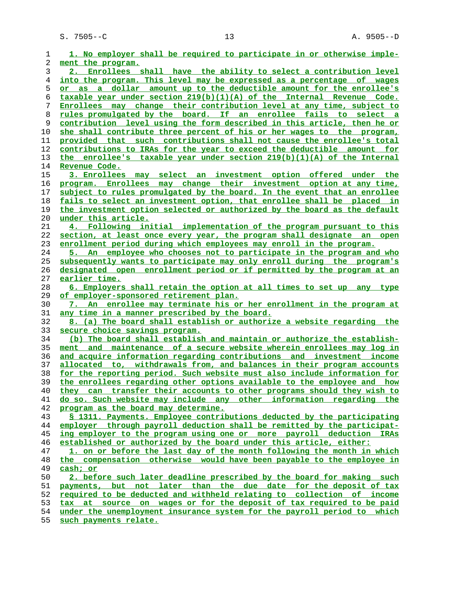S. 7505--C 13 13 A. 9505--D

| 1              | 1. No employer shall be required to participate in or otherwise imple-                                                                          |
|----------------|-------------------------------------------------------------------------------------------------------------------------------------------------|
| 2              | ment the program.                                                                                                                               |
| 3              | 2. Enrollees shall have the ability to select a contribution level                                                                              |
| $\overline{4}$ | into the program. This level may be expressed as a percentage of wages                                                                          |
| 5              | or as a dollar amount up to the deductible amount for the enrollee's                                                                            |
| 6              | taxable year under section 219(b)(1)(A) of the Internal Revenue Code.                                                                           |
| 7              | Enrollees may change their contribution level at any time, subject to                                                                           |
| 8              | rules promulgated by the board. If an enrollee fails to select a                                                                                |
| 9              | <u>contribution level using the form described in this article, then he or</u>                                                                  |
| 10             | she shall contribute three percent of his or her wages to the program,                                                                          |
| 11             | provided that such contributions shall not cause the enrollee's total                                                                           |
| 12             | contributions to IRAs for the year to exceed the deductible amount for                                                                          |
| 13             | the enrollee's taxable year under section 219(b)(1)(A) of the Internal                                                                          |
| 14             | Revenue Code.                                                                                                                                   |
| 15             | 3. Enrollees may select an investment option offered under the                                                                                  |
| 16             | program. Enrollees may change their investment option at any time,                                                                              |
| 17             | subject to rules promulgated by the board. In the event that an enrollee                                                                        |
| 18             | fails to select an investment option, that enrollee shall be placed in                                                                          |
| 19             | the investment option selected or authorized by the board as the default                                                                        |
| 20             | under this article.                                                                                                                             |
| 21             | 4. Following initial implementation of the program pursuant to this                                                                             |
| 22             | section, at least once every year, the program shall designate an open                                                                          |
| 23             | enrollment period during which employees may enroll in the program.                                                                             |
| 24             | 5. An employee who chooses not to participate in the program and who                                                                            |
| 25             | subsequently wants to participate may only enroll during the program's                                                                          |
| 26             | designated open enrollment period or if permitted by the program at an                                                                          |
| 27             | earlier time.                                                                                                                                   |
|                |                                                                                                                                                 |
| 28             | 6. Employers shall retain the option at all times to set up<br>any type                                                                         |
| 29             | of employer-sponsored retirement plan.                                                                                                          |
| 30             | 7. An enrollee may terminate his or her enrollment in the program at                                                                            |
| 31             | <u>any time in a manner prescribed by the board.</u>                                                                                            |
| 32             | 8. (a) The board shall establish or authorize a website regarding the                                                                           |
| 33             | secure choice savings program.                                                                                                                  |
| 34             | (b) The board shall establish and maintain or authorize the establish-                                                                          |
| 35             | ment and maintenance of a secure website wherein enrollees may log in                                                                           |
| 36             | and acquire information regarding contributions and investment income                                                                           |
| 37             | allocated to, withdrawals from, and balances in their program accounts                                                                          |
| 38             | for the reporting period. Such website must also include information for                                                                        |
| 39             | the enrollees regarding other options available to the employee and how                                                                         |
| 40             | they can transfer their accounts to other programs should they wish to                                                                          |
| 41             | do so. Such website may include any other information regarding the                                                                             |
| 42             | program as the board may determine.                                                                                                             |
| 43             | § 1311. Payments. Employee contributions deducted by the participating                                                                          |
| 44             | employer through payroll deduction shall be remitted by the participat-                                                                         |
| 45             | ing employer to the program using one or more payroll deduction IRAs                                                                            |
| 46             | established or authorized by the board under this article, either:                                                                              |
| 47             | 1. on or before the last day of the month following the month in which                                                                          |
| 48             | the compensation otherwise would have been payable to the employee in                                                                           |
| 49             | cash; or                                                                                                                                        |
| 50             | 2. before such later deadline prescribed by the board for making such                                                                           |
| 51             | payments, but not later than the due date for the deposit of tax                                                                                |
| 52             | required to be deducted and withheld relating to collection of income                                                                           |
| 53<br>54       | tax at source on wages or for the deposit of tax required to be paid<br>under the unemployment insurance system for the payroll period to which |

**such payments relate.**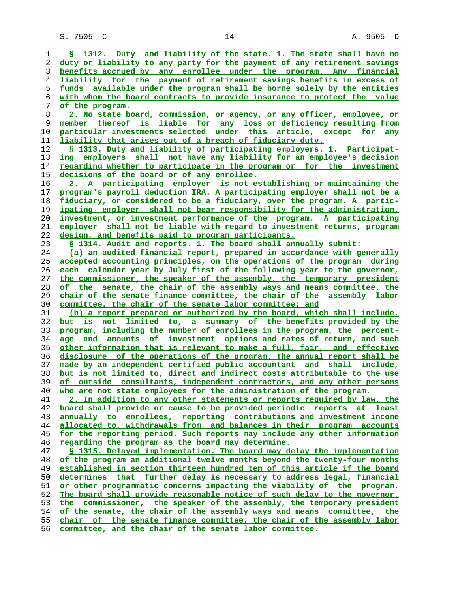**§ 1312. Duty and liability of the state. 1. The state shall have no duty or liability to any party for the payment of any retirement savings benefits accrued by any enrollee under the program. Any financial liability for the payment of retirement savings benefits in excess of funds available under the program shall be borne solely by the entities with whom the board contracts to provide insurance to protect the value of the program. 2. No state board, commission, or agency, or any officer, employee, or member thereof is liable for any loss or deficiency resulting from particular investments selected under this article, except for any liability that arises out of a breach of fiduciary duty. § 1313. Duty and liability of participating employers. 1. Participat- ing employers shall not have any liability for an employee's decision regarding whether to participate in the program or for the investment decisions of the board or of any enrollee. 2. A participating employer is not establishing or maintaining the program's payroll deduction IRA. A participating employer shall not be a fiduciary, or considered to be a fiduciary, over the program. A partic- ipating employer shall not bear responsibility for the administration, investment, or investment performance of the program. A participating employer shall not be liable with regard to investment returns, program design, and benefits paid to program participants. § 1314. Audit and reports. 1. The board shall annually submit: (a) an audited financial report, prepared in accordance with generally accepted accounting principles, on the operations of the program during each calendar year by July first of the following year to the governor, the commissioner, the speaker of the assembly, the temporary president of the senate, the chair of the assembly ways and means committee, the chair of the senate finance committee, the chair of the assembly labor committee, the chair of the senate labor committee; and (b) a report prepared or authorized by the board, which shall include, but is not limited to, a summary of the benefits provided by the program, including the number of enrollees in the program, the percent- age and amounts of investment options and rates of return, and such other information that is relevant to make a full, fair, and effective disclosure of the operations of the program. The annual report shall be made by an independent certified public accountant and shall include, but is not limited to, direct and indirect costs attributable to the use of outside consultants, independent contractors, and any other persons who are not state employees for the administration of the program. 2. In addition to any other statements or reports required by law, the board shall provide or cause to be provided periodic reports at least annually to enrollees, reporting contributions and investment income allocated to, withdrawals from, and balances in their program accounts for the reporting period. Such reports may include any other information regarding the program as the board may determine. § 1315. Delayed implementation. The board may delay the implementation of the program an additional twelve months beyond the twenty-four months established in section thirteen hundred ten of this article if the board determines that further delay is necessary to address legal, financial or other programmatic concerns impacting the viability of the program. The board shall provide reasonable notice of such delay to the governor, the commissioner, the speaker of the assembly, the temporary president of the senate, the chair of the assembly ways and means committee, the chair of the senate finance committee, the chair of the assembly labor committee, and the chair of the senate labor committee.**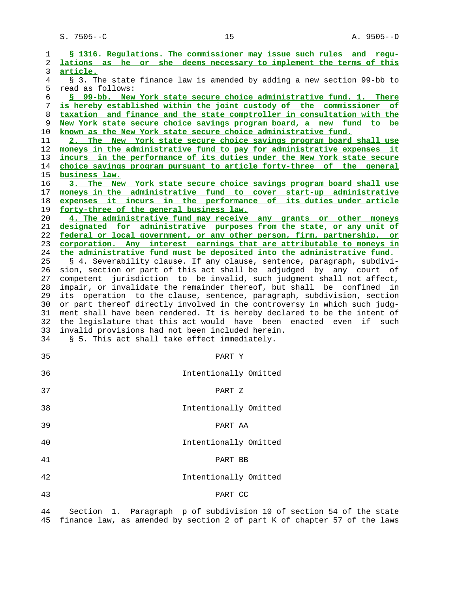| 1        | § 1316. Requlations. The commissioner may issue such rules and requ-                                                                          |
|----------|-----------------------------------------------------------------------------------------------------------------------------------------------|
| 2        | lations as he or she deems necessary to implement the terms of this                                                                           |
| 3        | article.                                                                                                                                      |
| 4        | § 3. The state finance law is amended by adding a new section 99-bb to                                                                        |
| 5        | read as follows:                                                                                                                              |
| 6<br>7   | § 99-bb. New York state secure choice administrative fund. 1. There<br>is hereby established within the joint custody of the commissioner of  |
| 8        | taxation and finance and the state comptroller in consultation with the                                                                       |
| 9        | New York state secure choice savings program board, a new fund to be                                                                          |
| 10       | known as the New York state secure choice administrative fund.                                                                                |
| 11       | 2. The New York state secure choice savings program board shall use                                                                           |
| 12       | moneys in the administrative fund to pay for administrative expenses it                                                                       |
| 13       | incurs in the performance of its duties under the New York state secure                                                                       |
| 14       | choice savings program pursuant to article forty-three of the general                                                                         |
| 15       | business law.                                                                                                                                 |
| 16       | 3. The New York state secure choice savings program board shall use                                                                           |
| 17       | moneys in the administrative fund to cover start-up administrative                                                                            |
| 18       | expenses it incurs in the performance of its duties under article                                                                             |
| 19       | forty-three of the general business law.                                                                                                      |
| 20       | 4. The administrative fund may receive any grants or other moneys                                                                             |
| 21       | designated for administrative purposes from the state, or any unit of                                                                         |
| 22       | federal or local government, or any other person, firm, partnership, or                                                                       |
| 23       | corporation. Any interest earnings that are attributable to moneys in                                                                         |
| 24       | the administrative fund must be deposited into the administrative fund.                                                                       |
| 25<br>26 | § 4. Severability clause. If any clause, sentence, paragraph, subdivi-<br>sion, section or part of this act shall be adjudged by any court of |
| 27       | competent jurisdiction to be invalid, such judgment shall not affect,                                                                         |
| 28       | impair, or invalidate the remainder thereof, but shall be confined<br>in                                                                      |
| 29       | its operation to the clause, sentence, paragraph, subdivision, section                                                                        |
| 30       | or part thereof directly involved in the controversy in which such judg-                                                                      |
| 31       | ment shall have been rendered. It is hereby declared to be the intent of                                                                      |
| 32       | the legislature that this act would have been enacted even<br>if<br>such                                                                      |
| 33       | invalid provisions had not been included herein.                                                                                              |
| 34       | § 5. This act shall take effect immediately.                                                                                                  |
|          |                                                                                                                                               |
| 35       | PART Y                                                                                                                                        |
|          |                                                                                                                                               |
| 36       | Intentionally Omitted                                                                                                                         |
|          |                                                                                                                                               |
| 37       | PART Z                                                                                                                                        |
| 38       | Intentionally Omitted                                                                                                                         |
|          |                                                                                                                                               |
| 39       | PART AA                                                                                                                                       |
|          |                                                                                                                                               |
| 40       | Intentionally Omitted                                                                                                                         |
|          |                                                                                                                                               |
| 41       | PART BB                                                                                                                                       |
|          |                                                                                                                                               |
| 42       | Intentionally Omitted                                                                                                                         |
|          |                                                                                                                                               |
| 43       | PART CC                                                                                                                                       |
|          |                                                                                                                                               |
| 44       | Section 1. Paragraph p of subdivision 10 of section 54 of the state                                                                           |
| 45       | finance law, as amended by section 2 of part K of chapter 57 of the laws                                                                      |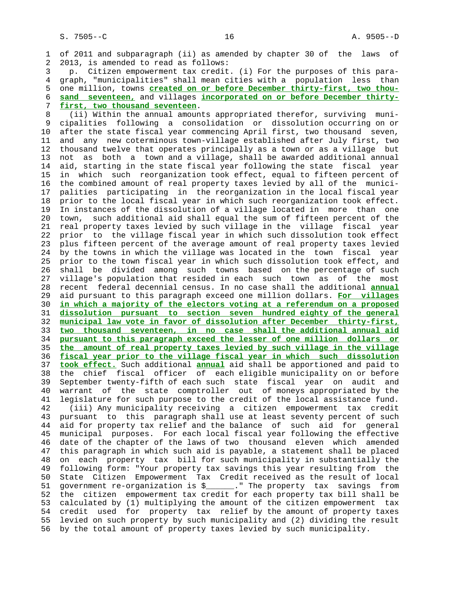1 of 2011 and subparagraph (ii) as amended by chapter 30 of the laws of 2 2013, is amended to read as follows:

 3 p. Citizen empowerment tax credit. (i) For the purposes of this para- 4 graph, "municipalities" shall mean cities with a population less than 5 one million, towns **created on or before December thirty-first, two thou-** 6 **sand seventeen,** and villages **incorporated on or before December thirty-** 7 **first, two thousand seventeen**.

 8 (ii) Within the annual amounts appropriated therefor, surviving muni- 9 cipalities following a consolidation or dissolution occurring on or 10 after the state fiscal year commencing April first, two thousand seven, 11 and any new coterminous town-village established after July first, two 12 thousand twelve that operates principally as a town or as a village but 13 not as both a town and a village, shall be awarded additional annual 14 aid, starting in the state fiscal year following the state fiscal year 15 in which such reorganization took effect, equal to fifteen percent of 16 the combined amount of real property taxes levied by all of the munici- 17 palities participating in the reorganization in the local fiscal year 18 prior to the local fiscal year in which such reorganization took effect. 19 In instances of the dissolution of a village located in more than one 20 town, such additional aid shall equal the sum of fifteen percent of the 21 real property taxes levied by such village in the village fiscal year 22 prior to the village fiscal year in which such dissolution took effect 23 plus fifteen percent of the average amount of real property taxes levied 24 by the towns in which the village was located in the town fiscal year 25 prior to the town fiscal year in which such dissolution took effect, and 26 shall be divided among such towns based on the percentage of such 27 village's population that resided in each such town as of the most 28 recent federal decennial census. In no case shall the additional **annual** 29 aid pursuant to this paragraph exceed one million dollars. **For villages** 30 **in which a majority of the electors voting at a referendum on a proposed** 31 **dissolution pursuant to section seven hundred eighty of the general** 32 **municipal law vote in favor of dissolution after December thirty-first,** 33 **two thousand seventeen, in no case shall the additional annual aid** 34 **pursuant to this paragraph exceed the lesser of one million dollars or** 35 **the amount of real property taxes levied by such village in the village** 36 **fiscal year prior to the village fiscal year in which such dissolution** 37 **took effect.** Such additional **annual** aid shall be apportioned and paid to 38 the chief fiscal officer of each eligible municipality on or before 39 September twenty-fifth of each such state fiscal year on audit and 40 warrant of the state comptroller out of moneys appropriated by the 41 legislature for such purpose to the credit of the local assistance fund. 42 (iii) Any municipality receiving a citizen empowerment tax credit 43 pursuant to this paragraph shall use at least seventy percent of such 44 aid for property tax relief and the balance of such aid for general 45 municipal purposes. For each local fiscal year following the effective 46 date of the chapter of the laws of two thousand eleven which amended 47 this paragraph in which such aid is payable, a statement shall be placed 48 on each property tax bill for such municipality in substantially the 49 following form: "Your property tax savings this year resulting from the 50 State Citizen Empowerment Tax Credit received as the result of local 51 government re-organization is \$\_\_\_\_\_\_." The property tax savings from 52 the citizen empowerment tax credit for each property tax bill shall be 53 calculated by (1) multiplying the amount of the citizen empowerment tax 54 credit used for property tax relief by the amount of property taxes 55 levied on such property by such municipality and (2) dividing the result 56 by the total amount of property taxes levied by such municipality.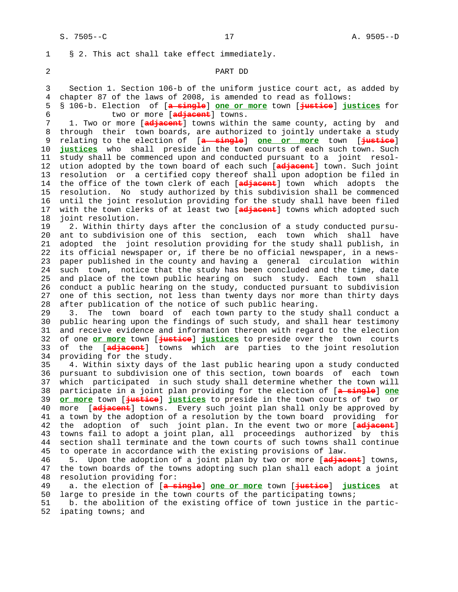1 § 2. This act shall take effect immediately.

#### 2 PART DD

 3 Section 1. Section 106-b of the uniform justice court act, as added by 4 chapter 87 of the laws of 2008, is amended to read as follows:

 5 § 106-b. Election of [**a single**] **one or more** town [**justice**] **justices** for 6 two or more [**adjacent**] towns.

1. Two or more [adjacent] towns within the same county, acting by and 8 through their town boards, are authorized to jointly undertake a study 9 relating to the election of [**a single**] **one or more** town [**justice**] 10 **justices** who shall preside in the town courts of each such town. Such 11 study shall be commenced upon and conducted pursuant to a joint resol- 12 ution adopted by the town board of each such [**adjacent**] town. Such joint 13 resolution or a certified copy thereof shall upon adoption be filed in 14 the office of the town clerk of each [**adjacent**] town which adopts the 15 resolution. No study authorized by this subdivision shall be commenced 16 until the joint resolution providing for the study shall have been filed 17 with the town clerks of at least two [**adjacent**] towns which adopted such 18 joint resolution.

 19 2. Within thirty days after the conclusion of a study conducted pursu- 20 ant to subdivision one of this section, each town which shall have 21 adopted the joint resolution providing for the study shall publish, in 22 its official newspaper or, if there be no official newspaper, in a news- 23 paper published in the county and having a general circulation within 24 such town, notice that the study has been concluded and the time, date 25 and place of the town public hearing on such study. Each town shall 26 conduct a public hearing on the study, conducted pursuant to subdivision 27 one of this section, not less than twenty days nor more than thirty days 28 after publication of the notice of such public hearing.

 29 3. The town board of each town party to the study shall conduct a 30 public hearing upon the findings of such study, and shall hear testimony 31 and receive evidence and information thereon with regard to the election 32 of one **or more** town [**justice**] **justices** to preside over the town courts 33 of the [**adjacent**] towns which are parties to the joint resolution 34 providing for the study.

 35 4. Within sixty days of the last public hearing upon a study conducted 36 pursuant to subdivision one of this section, town boards of each town 37 which participated in such study shall determine whether the town will 38 participate in a joint plan providing for the election of [**a single**] **one** 39 **or more** town [**justice**] **justices** to preside in the town courts of two or 40 more [**adjacent**] towns. Every such joint plan shall only be approved by 41 a town by the adoption of a resolution by the town board providing for 42 the adoption of such joint plan. In the event two or more [**adjacent**] 43 towns fail to adopt a joint plan, all proceedings authorized by this 44 section shall terminate and the town courts of such towns shall continue 45 to operate in accordance with the existing provisions of law.

 46 5. Upon the adoption of a joint plan by two or more [**adjacent**] towns, the town boards of the towns adopting such plan shall each adopt a joint 48 resolution providing for:

 49 a. the election of [**a single**] **one or more** town [**justice**] **justices** at 50 large to preside in the town courts of the participating towns;

 51 b. the abolition of the existing office of town justice in the partic- 52 ipating towns; and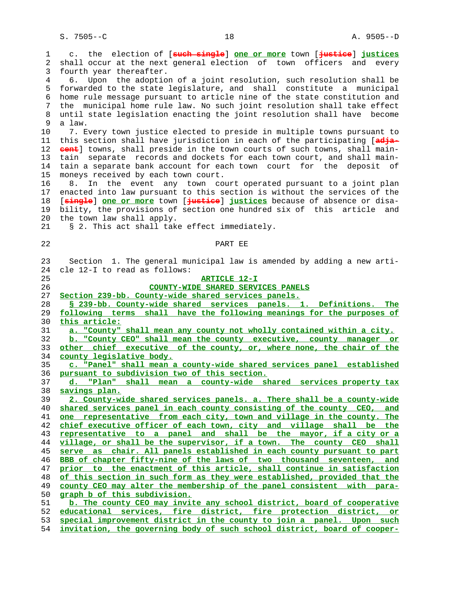1 c. the election of [**such single**] **one or more** town [**justice**] **justices** 2 shall occur at the next general election of town officers and every 3 fourth year thereafter. 4 6. Upon the adoption of a joint resolution, such resolution shall be 5 forwarded to the state legislature, and shall constitute a municipal 6 home rule message pursuant to article nine of the state constitution and 7 the municipal home rule law. No such joint resolution shall take effect 8 until state legislation enacting the joint resolution shall have become a law. 10 7. Every town justice elected to preside in multiple towns pursuant to 11 this section shall have jurisdiction in each of the participating [**adja-** 12 **cent**] towns, shall preside in the town courts of such towns, shall main- 13 tain separate records and dockets for each town court, and shall main- 14 tain a separate bank account for each town court for the deposit of 15 moneys received by each town court. 16 8. In the event any town court operated pursuant to a joint plan 17 enacted into law pursuant to this section is without the services of the 18 [**single**] **one or more** town [**justice**] **justices** because of absence or disa- 19 bility, the provisions of section one hundred six of this article and 20 the town law shall apply. 21 § 2. This act shall take effect immediately. 22 PART EE 23 Section 1. The general municipal law is amended by adding a new arti- 24 cle 12-I to read as follows: 25 **ARTICLE 12-I** 26 **COUNTY-WIDE SHARED SERVICES PANELS** 27 **Section 239-bb. County-wide shared services panels.** 28 **§ 239-bb. County-wide shared services panels. 1. Definitions. The** 29 **following terms shall have the following meanings for the purposes of** 30 **this article:** 31 **a. "County" shall mean any county not wholly contained within a city.** 32 **b. "County CEO" shall mean the county executive, county manager or** 33 **other chief executive of the county, or, where none, the chair of the** 34 **county legislative body.** 35 **c. "Panel" shall mean a county-wide shared services panel established** 36 **pursuant to subdivision two of this section.** 37 **d. "Plan" shall mean a county-wide shared services property tax** 38 **savings plan.** 39 **2. County-wide shared services panels. a. There shall be a county-wide** 40 **shared services panel in each county consisting of the county CEO, and** 41 **one representative from each city, town and village in the county. The** 42 **chief executive officer of each town, city and village shall be the** 43 **representative to a panel and shall be the mayor, if a city or a** 44 **village, or shall be the supervisor, if a town. The county CEO shall** 45 **serve as chair. All panels established in each county pursuant to part** 46 **BBB of chapter fifty-nine of the laws of two thousand seventeen, and** 47 **prior to the enactment of this article, shall continue in satisfaction** 48 **of this section in such form as they were established, provided that the** 49 **county CEO may alter the membership of the panel consistent with para-** 50 **graph b of this subdivision.** 51 **b. The county CEO may invite any school district, board of cooperative** 52 **educational services, fire district, fire protection district, or** 53 **special improvement district in the county to join a panel. Upon such**

54 **invitation, the governing body of such school district, board of cooper-**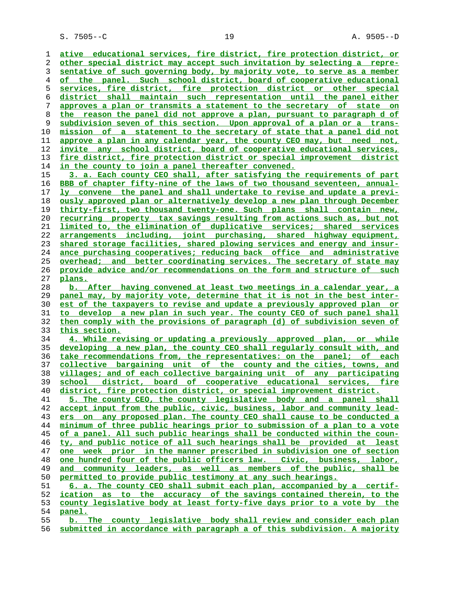S. 7505--C 19 A. 9505--D

**ative educational services, fire district, fire protection district, or other special district may accept such invitation by selecting a repre- sentative of such governing body, by majority vote, to serve as a member of the panel. Such school district, board of cooperative educational services, fire district, fire protection district or other special district shall maintain such representation until the panel either approves a plan or transmits a statement to the secretary of state on the reason the panel did not approve a plan, pursuant to paragraph d of subdivision seven of this section. Upon approval of a plan or a trans- mission of a statement to the secretary of state that a panel did not approve a plan in any calendar year, the county CEO may, but need not, invite any school district, board of cooperative educational services, fire district, fire protection district or special improvement district in the county to join a panel thereafter convened. 3. a. Each county CEO shall, after satisfying the requirements of part BBB of chapter fifty-nine of the laws of two thousand seventeen, annual- ly convene the panel and shall undertake to revise and update a previ- ously approved plan or alternatively develop a new plan through December thirty-first, two thousand twenty-one. Such plans shall contain new, recurring property tax savings resulting from actions such as, but not limited to, the elimination of duplicative services; shared services arrangements including, joint purchasing, shared highway equipment, shared storage facilities, shared plowing services and energy and insur- ance purchasing cooperatives; reducing back office and administrative overhead; and better coordinating services. The secretary of state may provide advice and/or recommendations on the form and structure of such plans. b. After having convened at least two meetings in a calendar year, a panel may, by majority vote, determine that it is not in the best inter- est of the taxpayers to revise and update a previously approved plan or to develop a new plan in such year. The county CEO of such panel shall then comply with the provisions of paragraph (d) of subdivision seven of this section. 4. While revising or updating a previously approved plan, or while developing a new plan, the county CEO shall regularly consult with, and take recommendations from, the representatives: on the panel; of each collective bargaining unit of the county and the cities, towns, and villages; and of each collective bargaining unit of any participating school district, board of cooperative educational services, fire district, fire protection district, or special improvement district. 5. The county CEO, the county legislative body and a panel shall accept input from the public, civic, business, labor and community lead- ers on any proposed plan. The county CEO shall cause to be conducted a minimum of three public hearings prior to submission of a plan to a vote of a panel. All such public hearings shall be conducted within the coun- ty, and public notice of all such hearings shall be provided at least one week prior in the manner prescribed in subdivision one of section one hundred four of the public officers law. Civic, business, labor,** and community leaders, as well as members of the public, shall be **permitted to provide public testimony at any such hearings. 6. a. The county CEO shall submit each plan, accompanied by a certif- ication as to the accuracy of the savings contained therein, to the county legislative body at least forty-five days prior to a vote by the panel. b. The county legislative body shall review and consider each plan submitted in accordance with paragraph a of this subdivision. A majority**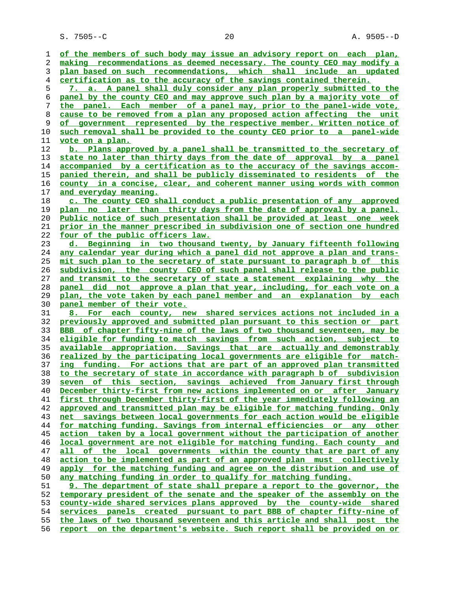S. 7505--C 20 A. 9505--D

**of the members of such body may issue an advisory report on each plan, making recommendations as deemed necessary. The county CEO may modify a plan based on such recommendations, which shall include an updated certification as to the accuracy of the savings contained therein. 7. a. A panel shall duly consider any plan properly submitted to the panel by the county CEO and may approve such plan by a majority vote of the panel. Each member of a panel may, prior to the panel-wide vote, cause to be removed from a plan any proposed action affecting the unit of government represented by the respective member. Written notice of such removal shall be provided to the county CEO prior to a panel-wide vote on a plan. b. Plans approved by a panel shall be transmitted to the secretary of state no later than thirty days from the date of approval by a panel accompanied by a certification as to the accuracy of the savings accom- panied therein, and shall be publicly disseminated to residents of the county in a concise, clear, and coherent manner using words with common and everyday meaning. c. The county CEO shall conduct a public presentation of any approved plan no later than thirty days from the date of approval by a panel. Public notice of such presentation shall be provided at least one week prior in the manner prescribed in subdivision one of section one hundred four of the public officers law. d. Beginning in two thousand twenty, by January fifteenth following any calendar year during which a panel did not approve a plan and trans- mit such plan to the secretary of state pursuant to paragraph b of this subdivision, the county CEO of such panel shall release to the public and transmit to the secretary of state a statement explaining why the panel did not approve a plan that year, including, for each vote on a plan, the vote taken by each panel member and an explanation by each panel member of their vote. 8. For each county, new shared services actions not included in a previously approved and submitted plan pursuant to this section or part BBB of chapter fifty-nine of the laws of two thousand seventeen, may be eligible for funding to match savings from such action, subject to available appropriation. Savings that are actually and demonstrably realized by the participating local governments are eligible for match- ing funding. For actions that are part of an approved plan transmitted to the secretary of state in accordance with paragraph b of subdivision seven of this section, savings achieved from January first through December thirty-first from new actions implemented on or after January first through December thirty-first of the year immediately following an approved and transmitted plan may be eligible for matching funding. Only net savings between local governments for each action would be eligible for matching funding. Savings from internal efficiencies or any other action taken by a local government without the participation of another local government are not eligible for matching funding. Each county and all of the local governments within the county that are part of any action to be implemented as part of an approved plan must collectively apply for the matching funding and agree on the distribution and use of any matching funding in order to qualify for matching funding. 9. The department of state shall prepare a report to the governor, the temporary president of the senate and the speaker of the assembly on the county-wide shared services plans approved by the county-wide shared services panels created pursuant to part BBB of chapter fifty-nine of the laws of two thousand seventeen and this article and shall post the report on the department's website. Such report shall be provided on or**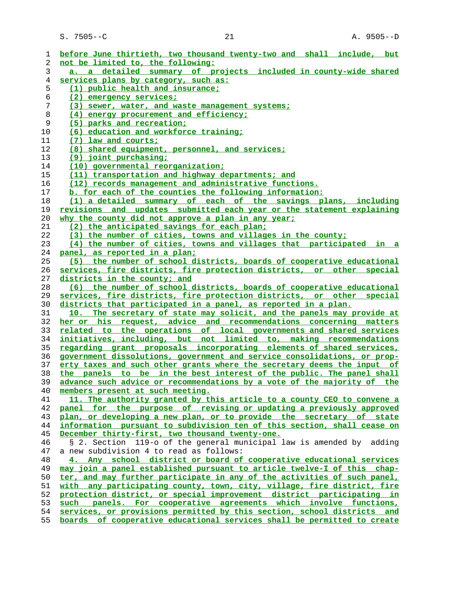S. 7505--C 21 21 A. 9505--D

| 1        | before June thirtieth, two thousand twenty-two and shall include, but            |
|----------|----------------------------------------------------------------------------------|
| 2        | not be limited to, the following:                                                |
| 3        | a. a detailed summary of projects included in county-wide shared                 |
| 4        | services plans by category, such as:                                             |
| 5        | (1) public health and insurance;                                                 |
| 6        | (2) emergency services;                                                          |
| 7        | (3) sewer, water, and waste management systems;                                  |
| 8        | (4) energy procurement and efficiency;                                           |
| 9        | (5) parks and recreation;                                                        |
| 10       | (6) education and workforce training;                                            |
| 11       | (7) law and courts;                                                              |
| 12       | (8) shared equipment, personnel, and services;                                   |
| 13       | $(9)$ joint purchasing;                                                          |
| 14       | (10) governmental reorganization;                                                |
| 15       | (11) transportation and highway departments; and                                 |
| 16       | (12) records management and administrative functions.                            |
| 17       | b. for each of the counties the following information:                           |
| 18       | (1) a detailed summary of each of the savings plans, including                   |
| 19       | revisions and updates submitted each year or the statement explaining            |
|          | why the county did not approve a plan in any year;                               |
| 20<br>21 | (2) the anticipated savings for each plan;                                       |
| 22       | (3) the number of cities, towns and villages in the county;                      |
| 23       | (4) the number of cities, towns and villages that participated in a              |
| 24       | panel, as reported in a plan;                                                    |
| 25       | (5) the number of school districts, boards of cooperative educational            |
| 26       | services, fire districts, fire protection districts, or other special            |
| 27       | districts in the county; and                                                     |
| 28       | (6) the number of school districts, boards of cooperative educational            |
| 29       | services, fire districts, fire protection districts, or other special            |
| 30       | districts that participated in a panel, as reported in a plan.                   |
| 31       | 10. The secretary of state may solicit, and the panels may provide at            |
| 32       | her or his request, advice and recommendations concerning matters                |
| 33       | related to the operations of local governments and shared services               |
| 34       | initiatives, including, but not limited to, making recommendations               |
| 35       | regarding grant proposals incorporating elements of shared services,             |
| 36       | government dissolutions, government and service consolidations, or prop-         |
| 37       | erty taxes and such other grants where the secretary deems the input of          |
| 38       | the panels to be in the best interest of the public. The panel shall             |
| 39       | advance such advice or recommendations by a vote of the majority of the          |
| 40       | members present at such meeting.                                                 |
| 41       | 11. The authority granted by this article to a county CEO to convene a           |
| 42       | panel for the purpose of revising or updating a previously approved              |
| 43       | plan, or developing a new plan, or to provide the secretary of state             |
| 44       | information pursuant to subdivision ten of this section, shall cease on          |
| 45       | December thirty-first, two thousand twenty-one.                                  |
| 46       | § 2. Section 119-o of the general municipal law is amended by adding             |
| 47       | a new subdivision 4 to read as follows:                                          |
| 48       | 4. Any school district or board of cooperative educational services              |
| 49       | may join a panel established pursuant to article twelve-I of this chap-          |
| 50       | ter, and may further participate in any of the activities of such panel,         |
| 51       | with any participating county, town, city, village, fire district, fire          |
| 52       | protection district, or special improvement district participating in            |
| 53       | panels. For cooperative agreements which involve functions,<br>such              |
| 54       | services, or provisions permitted by this section, school districts and          |
| 도도       | boards, of second interesting oducertianal services shall be permitted to greate |

**boards of cooperative educational services shall be permitted to create**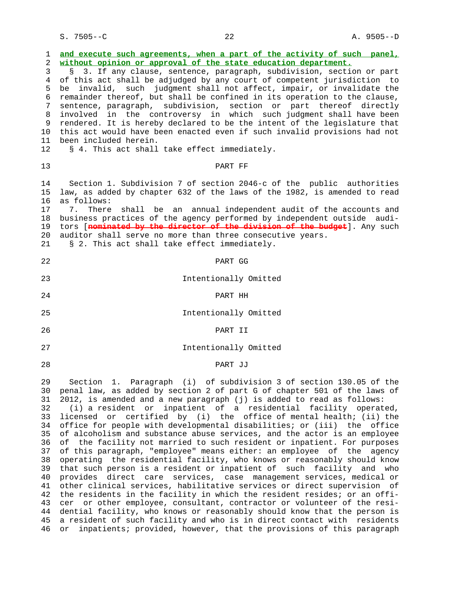| 1<br>2<br>3<br>$\overline{4}$<br>5<br>6<br>7<br>8<br>9<br>$10\,$<br>11<br>12                             | and execute such agreements, when a part of the activity of such panel,<br>without opinion or approval of the state education department.<br>3. If any clause, sentence, paragraph, subdivision, section or part<br>of this act shall be adjudged by any court of competent jurisdiction to<br>be invalid, such judgment shall not affect, impair, or invalidate the<br>remainder thereof, but shall be confined in its operation to the clause,<br>sentence, paragraph, subdivision, section or part thereof directly<br>involved in the controversy in which such judgment shall have been<br>rendered. It is hereby declared to be the intent of the legislature that<br>this act would have been enacted even if such invalid provisions had not<br>been included herein.<br>§ 4. This act shall take effect immediately.                                                                                                                                                                                                                                                                                                                                                                                                                                                                                                                                                  |
|----------------------------------------------------------------------------------------------------------|--------------------------------------------------------------------------------------------------------------------------------------------------------------------------------------------------------------------------------------------------------------------------------------------------------------------------------------------------------------------------------------------------------------------------------------------------------------------------------------------------------------------------------------------------------------------------------------------------------------------------------------------------------------------------------------------------------------------------------------------------------------------------------------------------------------------------------------------------------------------------------------------------------------------------------------------------------------------------------------------------------------------------------------------------------------------------------------------------------------------------------------------------------------------------------------------------------------------------------------------------------------------------------------------------------------------------------------------------------------------------------|
| 13                                                                                                       | PART FF                                                                                                                                                                                                                                                                                                                                                                                                                                                                                                                                                                                                                                                                                                                                                                                                                                                                                                                                                                                                                                                                                                                                                                                                                                                                                                                                                                        |
| 14<br>15<br>16<br>17<br>18<br>19<br>20<br>21                                                             | Section 1. Subdivision 7 of section 2046-c of the public authorities<br>law, as added by chapter 632 of the laws of the 1982, is amended to read<br>as follows:<br>7.<br>There<br>shall be an annual independent audit of the accounts and<br>business practices of the agency performed by independent outside audi-<br>tors [nominated by the director of the division of the budget]. Any such<br>auditor shall serve no more than three consecutive years.<br>§ 2. This act shall take effect immediately.                                                                                                                                                                                                                                                                                                                                                                                                                                                                                                                                                                                                                                                                                                                                                                                                                                                                 |
| 22                                                                                                       | PART GG                                                                                                                                                                                                                                                                                                                                                                                                                                                                                                                                                                                                                                                                                                                                                                                                                                                                                                                                                                                                                                                                                                                                                                                                                                                                                                                                                                        |
| 23                                                                                                       | Intentionally Omitted                                                                                                                                                                                                                                                                                                                                                                                                                                                                                                                                                                                                                                                                                                                                                                                                                                                                                                                                                                                                                                                                                                                                                                                                                                                                                                                                                          |
| 24                                                                                                       | PART HH                                                                                                                                                                                                                                                                                                                                                                                                                                                                                                                                                                                                                                                                                                                                                                                                                                                                                                                                                                                                                                                                                                                                                                                                                                                                                                                                                                        |
| 25                                                                                                       | Intentionally Omitted                                                                                                                                                                                                                                                                                                                                                                                                                                                                                                                                                                                                                                                                                                                                                                                                                                                                                                                                                                                                                                                                                                                                                                                                                                                                                                                                                          |
| 26                                                                                                       | PART II                                                                                                                                                                                                                                                                                                                                                                                                                                                                                                                                                                                                                                                                                                                                                                                                                                                                                                                                                                                                                                                                                                                                                                                                                                                                                                                                                                        |
| 27                                                                                                       | Intentionally Omitted                                                                                                                                                                                                                                                                                                                                                                                                                                                                                                                                                                                                                                                                                                                                                                                                                                                                                                                                                                                                                                                                                                                                                                                                                                                                                                                                                          |
| 28                                                                                                       | PART JJ                                                                                                                                                                                                                                                                                                                                                                                                                                                                                                                                                                                                                                                                                                                                                                                                                                                                                                                                                                                                                                                                                                                                                                                                                                                                                                                                                                        |
| 29<br>30<br>31<br>32<br>33<br>34<br>35<br>36<br>37<br>38<br>39<br>40<br>41<br>42<br>43<br>44<br>45<br>46 | Section 1. Paragraph (i) of subdivision 3 of section 130.05 of the<br>penal law, as added by section 2 of part G of chapter 501 of the laws of<br>2012, is amended and a new paragraph (j) is added to read as follows:<br>(i) a resident or inpatient of a residential facility operated,<br>licensed or certified by (i) the office of mental health; (ii) the<br>office for people with developmental disabilities; or (iii) the office<br>of alcoholism and substance abuse services, and the actor is an employee<br>of the facility not married to such resident or inpatient. For purposes<br>of this paragraph, "employee" means either: an employee of the agency<br>operating the residential facility, who knows or reasonably should know<br>that such person is a resident or inpatient of such facility and who<br>provides direct care services, case management services, medical or<br>other clinical services, habilitative services or direct supervision of<br>the residents in the facility in which the resident resides; or an offi-<br>cer or other employee, consultant, contractor or volunteer of the resi-<br>dential facility, who knows or reasonably should know that the person is<br>a resident of such facility and who is in direct contact with<br>residents<br>inpatients; provided, however, that the provisions of this paragraph<br>or |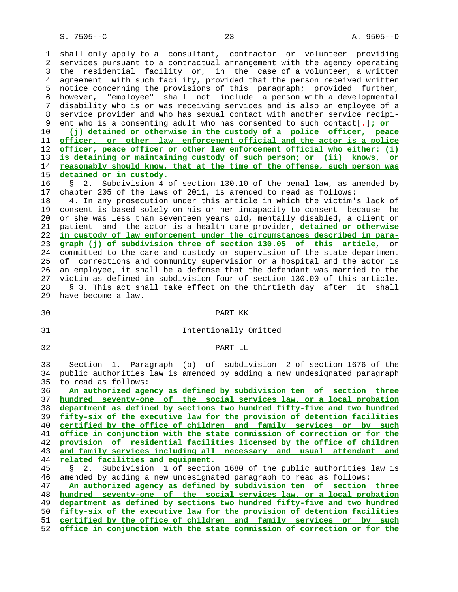1 shall only apply to a consultant, contractor or volunteer providing 2 services pursuant to a contractual arrangement with the agency operating 3 the residential facility or, in the case of a volunteer, a written 4 agreement with such facility, provided that the person received written 5 notice concerning the provisions of this paragraph; provided further, 6 however, "employee" shall not include a person with a developmental 7 disability who is or was receiving services and is also an employee of a 8 service provider and who has sexual contact with another service recipi-<br>9 ent who is a consenting adult who has consented to such contact[-]; or 9 ent who is a consenting adult who has consented to such contact[**.**]**; or** 10 **(j) detained or otherwise in the custody of a police officer, peace** 11 **officer, or other law enforcement official and the actor is a police** 12 **officer, peace officer or other law enforcement official who either: (i)** 13 **is detaining or maintaining custody of such person; or (ii) knows, or** 14 **reasonably should know, that at the time of the offense, such person was** 15 **detained or in custody.** 16 § 2. Subdivision 4 of section 130.10 of the penal law, as amended by 17 chapter 205 of the laws of 2011, is amended to read as follows: 18 4. In any prosecution under this article in which the victim's lack of 19 consent is based solely on his or her incapacity to consent because he 20 or she was less than seventeen years old, mentally disabled, a client or 21 patient and the actor is a health care provider**, detained or otherwise**

 22 **in custody of law enforcement under the circumstances described in para-** 23 **graph (j) of subdivision three of section 130.05 of this article**, or 24 committed to the care and custody or supervision of the state department 25 of corrections and community supervision or a hospital and the actor is 26 an employee, it shall be a defense that the defendant was married to the 27 victim as defined in subdivision four of section 130.00 of this article. 28 § 3. This act shall take effect on the thirtieth day after it shall 29 have become a law.

#### 30 PART KK

### 31 Intentionally Omitted

32 PART LL

 33 Section 1. Paragraph (b) of subdivision 2 of section 1676 of the 34 public authorities law is amended by adding a new undesignated paragraph 35 to read as follows:

**An authorized agency as defined by subdivision ten of section three hundred seventy-one of the social services law, or a local probation department as defined by sections two hundred fifty-five and two hundred fifty-six of the executive law for the provision of detention facilities certified by the office of children and family services or by such office in conjunction with the state commission of correction or for the provision of residential facilities licensed by the office of children and family services including all necessary and usual attendant and related facilities and equipment.** § 2. Subdivision 1 of section 1680 of the public authorities law is 46 amended by adding a new undesignated paragraph to read as follows: **An authorized agency as defined by subdivision ten of section three hundred seventy-one of the social services law, or a local probation department as defined by sections two hundred fifty-five and two hundred fifty-six of the executive law for the provision of detention facilities**

 51 **certified by the office of children and family services or by such** 52 **office in conjunction with the state commission of correction or for the**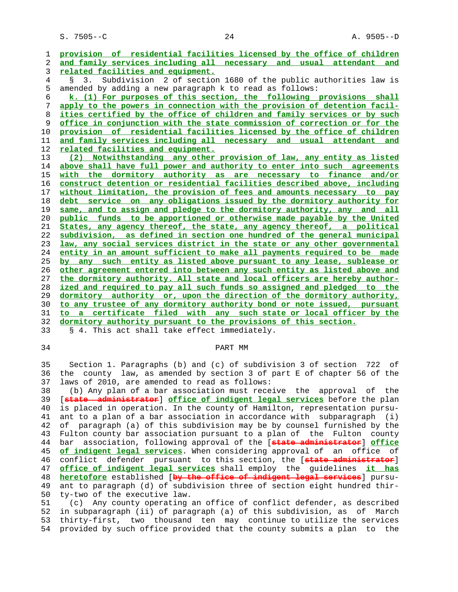S. 7505--C 24 A. 9505--D

**provision of residential facilities licensed by the office of children and family services including all necessary and usual attendant and related facilities and equipment.** 4 § 3. Subdivision 2 of section 1680 of the public authorities law is 5 amended by adding a new paragraph k to read as follows: **k. (1) For purposes of this section, the following provisions shall apply to the powers in connection with the provision of detention facil- ities certified by the office of children and family services or by such office in conjunction with the state commission of correction or for the provision of residential facilities licensed by the office of children and family services including all necessary and usual attendant and related facilities and equipment. (2) Notwithstanding any other provision of law, any entity as listed above shall have full power and authority to enter into such agreements with the dormitory authority as are necessary to finance and/or construct detention or residential facilities described above, including without limitation, the provision of fees and amounts necessary to pay debt service on any obligations issued by the dormitory authority for same, and to assign and pledge to the dormitory authority, any and all public funds to be apportioned or otherwise made payable by the United States, any agency thereof, the state, any agency thereof, a political subdivision, as defined in section one hundred of the general municipal law, any social services district in the state or any other governmental entity in an amount sufficient to make all payments required to be made by any such entity as listed above pursuant to any lease, sublease or other agreement entered into between any such entity as listed above and the dormitory authority. All state and local officers are hereby author- ized and required to pay all such funds so assigned and pledged to the dormitory authority or, upon the direction of the dormitory authority, to any trustee of any dormitory authority bond or note issued, pursuant to a certificate filed with any such state or local officer by the dormitory authority pursuant to the provisions of this section.** 33 § 4. This act shall take effect immediately.

# 34 PART MM

 35 Section 1. Paragraphs (b) and (c) of subdivision 3 of section 722 of 36 the county law, as amended by section 3 of part E of chapter 56 of the 37 laws of 2010, are amended to read as follows:

 38 (b) Any plan of a bar association must receive the approval of the 39 [**state administrator**] **office of indigent legal services** before the plan 40 is placed in operation. In the county of Hamilton, representation pursu- 41 ant to a plan of a bar association in accordance with subparagraph (i) 42 of paragraph (a) of this subdivision may be by counsel furnished by the 43 Fulton county bar association pursuant to a plan of the Fulton county 44 bar association, following approval of the [**state administrator**] **office** 45 **of indigent legal services**. When considering approval of an office of 46 conflict defender pursuant to this section, the [**state administrator**] 47 **office of indigent legal services** shall employ the guidelines **it has** 48 **heretofore** established [**by the office of indigent legal services**] pursu- 49 ant to paragraph (d) of subdivision three of section eight hundred thir- 50 ty-two of the executive law.

 51 (c) Any county operating an office of conflict defender, as described 52 in subparagraph (ii) of paragraph (a) of this subdivision, as of March 53 thirty-first, two thousand ten may continue to utilize the services 54 provided by such office provided that the county submits a plan to the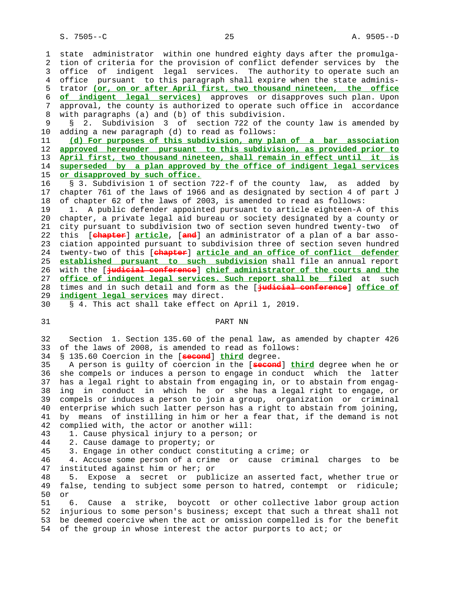1 state administrator within one hundred eighty days after the promulga- 2 tion of criteria for the provision of conflict defender services by the 3 office of indigent legal services. The authority to operate such an 4 office pursuant to this paragraph shall expire when the state adminis- 5 trator **(or, on or after April first, two thousand nineteen, the office** 6 **of indigent legal services)** approves or disapproves such plan. Upon 7 approval, the county is authorized to operate such office in accordance 8 with paragraphs (a) and (b) of this subdivision. 9 § 2. Subdivision 3 of section 722 of the county law is amended by 10 adding a new paragraph (d) to read as follows: 11 **(d) For purposes of this subdivision, any plan of a bar association** 12 **approved hereunder pursuant to this subdivision, as provided prior to** 13 **April first, two thousand nineteen, shall remain in effect until it is** 14 **superseded by a plan approved by the office of indigent legal services** 15 **or disapproved by such office.** 16 § 3. Subdivision 1 of section 722-f of the county law, as added by 17 chapter 761 of the laws of 1966 and as designated by section 4 of part J 18 of chapter 62 of the laws of 2003, is amended to read as follows: 19 1. A public defender appointed pursuant to article eighteen-A of this 20 chapter, a private legal aid bureau or society designated by a county or 21 city pursuant to subdivision two of section seven hundred twenty-two of 22 this [**chapter**] **article**, [**and**] an administrator of a plan of a bar asso- 23 ciation appointed pursuant to subdivision three of section seven hundred 24 twenty-two of this [**chapter**] **article and an office of conflict defender** 25 **established pursuant to such subdivision** shall file an annual report 26 with the [**judicial conference**] **chief administrator of the courts and the** 27 **office of indigent legal services. Such report shall be filed** at such 28 times and in such detail and form as the [**judicial conference**] **office of** 29 **indigent legal services** may direct. 30 § 4. This act shall take effect on April 1, 2019. 31 PART NN 32 Section 1. Section 135.60 of the penal law, as amended by chapter 426 of the laws of 2008, is amended to read as follows: 34 § 135.60 Coercion in the [**second**] **third** degree. 35 A person is guilty of coercion in the [**second**] **third** degree when he or 36 she compels or induces a person to engage in conduct which the latter 37 has a legal right to abstain from engaging in, or to abstain from engag- 38 ing in conduct in which he or she has a legal right to engage, or 39 compels or induces a person to join a group, organization or criminal 40 enterprise which such latter person has a right to abstain from joining, 41 by means of instilling in him or her a fear that, if the demand is not 42 complied with, the actor or another will: 43 1. Cause physical injury to a person; or 44 2. Cause damage to property; or 45 3. Engage in other conduct constituting a crime; or 46 4. Accuse some person of a crime or cause criminal charges to be 47 instituted against him or her; or 48 5. Expose a secret or publicize an asserted fact, whether true or 49 false, tending to subject some person to hatred, contempt or ridicule; 50 or 51 6. Cause a strike, boycott or other collective labor group action 52 injurious to some person's business; except that such a threat shall not 53 be deemed coercive when the act or omission compelled is for the benefit 54 of the group in whose interest the actor purports to act; or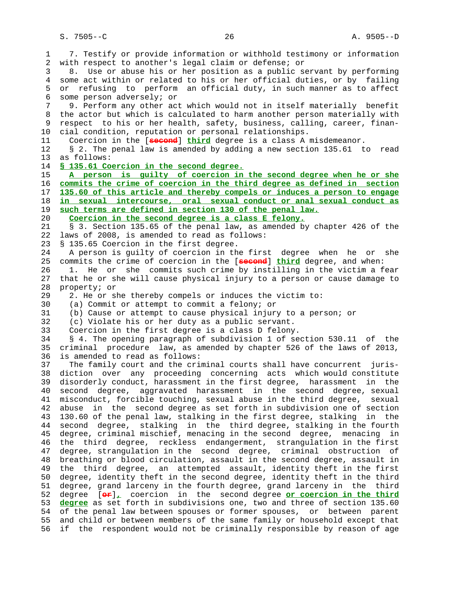S. 7505--C 26 A. 9505--D

 1 7. Testify or provide information or withhold testimony or information 2 with respect to another's legal claim or defense; or 3 8. Use or abuse his or her position as a public servant by performing 4 some act within or related to his or her official duties, or by failing 5 or refusing to perform an official duty, in such manner as to affect 6 some person adversely; or 7 9. Perform any other act which would not in itself materially benefit 8 the actor but which is calculated to harm another person materially with<br>9 respect to his or her health, safety, business, calling, career, finanrespect to his or her health, safety, business, calling, career, finan- 10 cial condition, reputation or personal relationships. 11 Coercion in the [**second**] **third** degree is a class A misdemeanor. 12 § 2. The penal law is amended by adding a new section 135.61 to read 13 as follows: 14 **§ 135.61 Coercion in the second degree.** 15 **A person is guilty of coercion in the second degree when he or she** 16 **commits the crime of coercion in the third degree as defined in section** 17 **135.60 of this article and thereby compels or induces a person to engage** 18 **in sexual intercourse, oral sexual conduct or anal sexual conduct as** 19 **such terms are defined in section 130 of the penal law.** 20 **Coercion in the second degree is a class E felony.** 21 § 3. Section 135.65 of the penal law, as amended by chapter 426 of the 22 laws of 2008, is amended to read as follows: 23 § 135.65 Coercion in the first degree. 24 A person is guilty of coercion in the first degree when he or she 25 commits the crime of coercion in the [**second**] **third** degree, and when: 26 1. He or she commits such crime by instilling in the victim a fear 27 that he or she will cause physical injury to a person or cause damage to 28 property; or 29 2. He or she thereby compels or induces the victim to: 30 (a) Commit or attempt to commit a felony; or 31 (b) Cause or attempt to cause physical injury to a person; or 32 (c) Violate his or her duty as a public servant. 33 Coercion in the first degree is a class D felony. 34 § 4. The opening paragraph of subdivision 1 of section 530.11 of the 35 criminal procedure law, as amended by chapter 526 of the laws of 2013, 36 is amended to read as follows: 37 The family court and the criminal courts shall have concurrent juris- 38 diction over any proceeding concerning acts which would constitute 39 disorderly conduct, harassment in the first degree, harassment in the 40 second degree, aggravated harassment in the second degree, sexual 41 misconduct, forcible touching, sexual abuse in the third degree, sexual 42 abuse in the second degree as set forth in subdivision one of section 43 130.60 of the penal law, stalking in the first degree, stalking in the 44 second degree, stalking in the third degree, stalking in the fourth 45 degree, criminal mischief, menacing in the second degree, menacing in 46 the third degree, reckless endangerment, strangulation in the first 47 degree, strangulation in the second degree, criminal obstruction of 48 breathing or blood circulation, assault in the second degree, assault in 49 the third degree, an attempted assault, identity theft in the first 50 degree, identity theft in the second degree, identity theft in the third 51 degree, grand larceny in the fourth degree, grand larceny in the third 52 degree [**or**]**,** coercion in the second degree **or coercion in the third** 53 **degree** as set forth in subdivisions one, two and three of section 135.60 54 of the penal law between spouses or former spouses, or between parent 55 and child or between members of the same family or household except that 56 if the respondent would not be criminally responsible by reason of age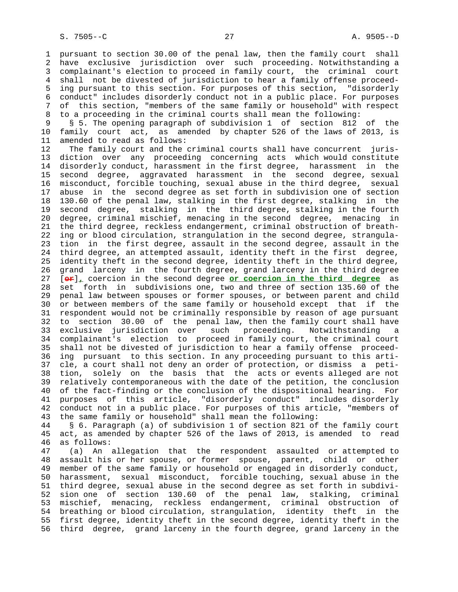1 pursuant to section 30.00 of the penal law, then the family court shall 2 have exclusive jurisdiction over such proceeding. Notwithstanding a 3 complainant's election to proceed in family court, the criminal court 4 shall not be divested of jurisdiction to hear a family offense proceed- 5 ing pursuant to this section. For purposes of this section, "disorderly 6 conduct" includes disorderly conduct not in a public place. For purposes 7 of this section, "members of the same family or household" with respect 8 to a proceeding in the criminal courts shall mean the following:<br>9 § 5. The opening paragraph of subdivision 1 of section 812

 9 § 5. The opening paragraph of subdivision 1 of section 812 of the 10 family court act, as amended by chapter 526 of the laws of 2013, is 11 amended to read as follows:

 12 The family court and the criminal courts shall have concurrent juris- 13 diction over any proceeding concerning acts which would constitute 14 disorderly conduct, harassment in the first degree, harassment in the 15 second degree, aggravated harassment in the second degree, sexual 16 misconduct, forcible touching, sexual abuse in the third degree, sexual 17 abuse in the second degree as set forth in subdivision one of section 18 130.60 of the penal law, stalking in the first degree, stalking in the 19 second degree, stalking in the third degree, stalking in the fourth 20 degree, criminal mischief, menacing in the second degree, menacing in 21 the third degree, reckless endangerment, criminal obstruction of breath- 22 ing or blood circulation, strangulation in the second degree, strangula- 23 tion in the first degree, assault in the second degree, assault in the 24 third degree, an attempted assault, identity theft in the first degree, 25 identity theft in the second degree, identity theft in the third degree, 26 grand larceny in the fourth degree, grand larceny in the third degree 27 [**or**]**,** coercion in the second degree **or coercion in the third degree** as 28 set forth in subdivisions one, two and three of section 135.60 of the 29 penal law between spouses or former spouses, or between parent and child 30 or between members of the same family or household except that if the 31 respondent would not be criminally responsible by reason of age pursuant 32 to section 30.00 of the penal law, then the family court shall have 33 exclusive jurisdiction over such proceeding. Notwithstanding a 34 complainant's election to proceed in family court, the criminal court 35 shall not be divested of jurisdiction to hear a family offense proceed- 36 ing pursuant to this section. In any proceeding pursuant to this arti- 37 cle, a court shall not deny an order of protection, or dismiss a peti- 38 tion, solely on the basis that the acts or events alleged are not 39 relatively contemporaneous with the date of the petition, the conclusion 40 of the fact-finding or the conclusion of the dispositional hearing. For 41 purposes of this article, "disorderly conduct" includes disorderly 42 conduct not in a public place. For purposes of this article, "members of 43 the same family or household" shall mean the following:

 44 § 6. Paragraph (a) of subdivision 1 of section 821 of the family court 45 act, as amended by chapter 526 of the laws of 2013, is amended to read 46 as follows:

 47 (a) An allegation that the respondent assaulted or attempted to 48 assault his or her spouse, or former spouse, parent, child or other 49 member of the same family or household or engaged in disorderly conduct, 50 harassment, sexual misconduct, forcible touching, sexual abuse in the 51 third degree, sexual abuse in the second degree as set forth in subdivi- 52 sion one of section 130.60 of the penal law, stalking, criminal 53 mischief, menacing, reckless endangerment, criminal obstruction of 54 breathing or blood circulation, strangulation, identity theft in the 55 first degree, identity theft in the second degree, identity theft in the 56 third degree, grand larceny in the fourth degree, grand larceny in the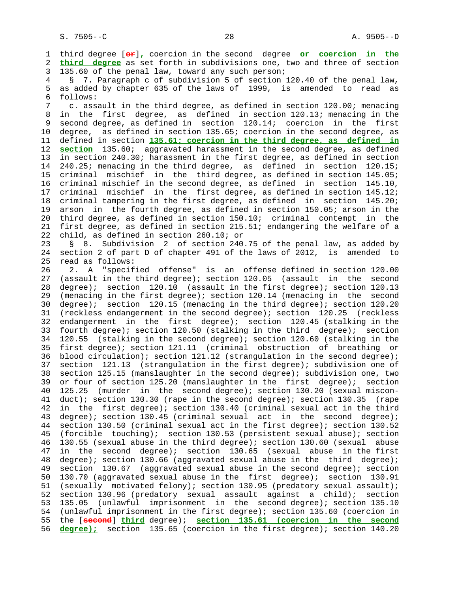1 third degree [**or**]**,** coercion in the second degree **or coercion in the** 2 **third degree** as set forth in subdivisions one, two and three of section 3 135.60 of the penal law, toward any such person;

 4 § 7. Paragraph c of subdivision 5 of section 120.40 of the penal law, 5 as added by chapter 635 of the laws of 1999, is amended to read as 6 follows:

 7 c. assault in the third degree, as defined in section 120.00; menacing 8 in the first degree, as defined in section 120.13; menacing in the<br>9 second degree, as defined in section 120.14; coercion in the first second degree, as defined in section 120.14; coercion in the first 10 degree, as defined in section 135.65; coercion in the second degree, as 11 defined in section **135.61; coercion in the third degree, as defined in** 12 **section** 135.60; aggravated harassment in the second degree, as defined 13 in section 240.30; harassment in the first degree, as defined in section 14 240.25; menacing in the third degree, as defined in section 120.15; 15 criminal mischief in the third degree, as defined in section 145.05; 16 criminal mischief in the second degree, as defined in section 145.10, 17 criminal mischief in the first degree, as defined in section 145.12; 18 criminal tampering in the first degree, as defined in section 145.20; 19 arson in the fourth degree, as defined in section 150.05; arson in the 20 third degree, as defined in section 150.10; criminal contempt in the 21 first degree, as defined in section 215.51; endangering the welfare of a 22 child, as defined in section 260.10; or

 23 § 8. Subdivision 2 of section 240.75 of the penal law, as added by 24 section 2 of part D of chapter 491 of the laws of 2012, is amended to 25 read as follows:

 26 2. A "specified offense" is an offense defined in section 120.00 27 (assault in the third degree); section 120.05 (assault in the second 28 degree); section 120.10 (assault in the first degree); section 120.13 29 (menacing in the first degree); section 120.14 (menacing in the second 30 degree); section 120.15 (menacing in the third degree); section 120.20 31 (reckless endangerment in the second degree); section 120.25 (reckless 32 endangerment in the first degree); section 120.45 (stalking in the 33 fourth degree); section 120.50 (stalking in the third degree); section 34 120.55 (stalking in the second degree); section 120.60 (stalking in the 35 first degree); section 121.11 (criminal obstruction of breathing or 36 blood circulation); section 121.12 (strangulation in the second degree); 37 section 121.13 (strangulation in the first degree); subdivision one of 38 section 125.15 (manslaughter in the second degree); subdivision one, two 39 or four of section 125.20 (manslaughter in the first degree); section 40 125.25 (murder in the second degree); section 130.20 (sexual miscon- 41 duct); section 130.30 (rape in the second degree); section 130.35 (rape 42 in the first degree); section 130.40 (criminal sexual act in the third 43 degree); section 130.45 (criminal sexual act in the second degree); 44 section 130.50 (criminal sexual act in the first degree); section 130.52 45 (forcible touching); section 130.53 (persistent sexual abuse); section 46 130.55 (sexual abuse in the third degree); section 130.60 (sexual abuse 47 in the second degree); section 130.65 (sexual abuse in the first 48 degree); section 130.66 (aggravated sexual abuse in the third degree); 49 section 130.67 (aggravated sexual abuse in the second degree); section 50 130.70 (aggravated sexual abuse in the first degree); section 130.91 51 (sexually motivated felony); section 130.95 (predatory sexual assault); 52 section 130.96 (predatory sexual assault against a child); section 53 135.05 (unlawful imprisonment in the second degree); section 135.10<br>54 (unlawful imprisonment in the first degree); section 135.60 (coercion in (unlawful imprisonment in the first degree); section 135.60 (coercion in 55 the [**second**] **third** degree); **section 135.61 (coercion in the second** 56 **degree);** section 135.65 (coercion in the first degree); section 140.20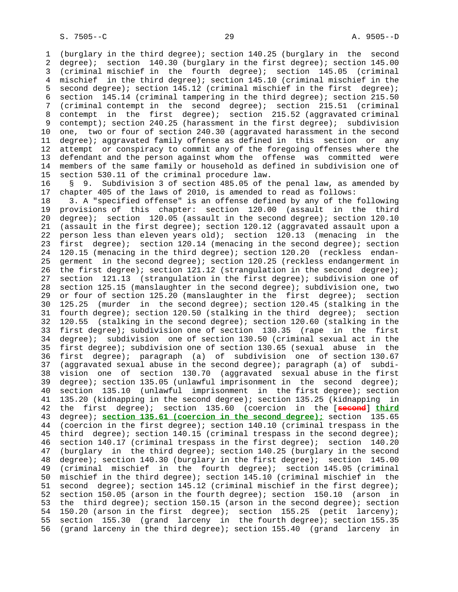1 (burglary in the third degree); section 140.25 (burglary in the second 2 degree); section 140.30 (burglary in the first degree); section 145.00 3 (criminal mischief in the fourth degree); section 145.05 (criminal 4 mischief in the third degree); section 145.10 (criminal mischief in the 5 second degree); section 145.12 (criminal mischief in the first degree); 6 section 145.14 (criminal tampering in the third degree); section 215.50 7 (criminal contempt in the second degree); section 215.51 (criminal 8 contempt in the first degree); section 215.52 (aggravated criminal<br>9 contempt); section 240.25 (harassment in the first degree); subdivision contempt); section 240.25 (harassment in the first degree); subdivision 10 one, two or four of section 240.30 (aggravated harassment in the second 11 degree); aggravated family offense as defined in this section or any 12 attempt or conspiracy to commit any of the foregoing offenses where the 13 defendant and the person against whom the offense was committed were<br>14 members of the same family or household as defined in subdivision one of members of the same family or household as defined in subdivision one of 15 section 530.11 of the criminal procedure law.

 16 § 9. Subdivision 3 of section 485.05 of the penal law, as amended by 17 chapter 405 of the laws of 2010, is amended to read as follows:

 18 3. A "specified offense" is an offense defined by any of the following 19 provisions of this chapter: section 120.00 (assault in the third 20 degree); section 120.05 (assault in the second degree); section 120.10 21 (assault in the first degree); section 120.12 (aggravated assault upon a 22 person less than eleven years old); section 120.13 (menacing in the 23 first degree); section 120.14 (menacing in the second degree); section 24 120.15 (menacing in the third degree); section 120.20 (reckless endan- 25 germent in the second degree); section 120.25 (reckless endangerment in 26 the first degree); section 121.12 (strangulation in the second degree); 27 section 121.13 (strangulation in the first degree); subdivision one of 28 section 125.15 (manslaughter in the second degree); subdivision one, two 29 or four of section 125.20 (manslaughter in the first degree); section 30 125.25 (murder in the second degree); section 120.45 (stalking in the 31 fourth degree); section 120.50 (stalking in the third degree); section 32 120.55 (stalking in the second degree); section 120.60 (stalking in the 33 first degree); subdivision one of section 130.35 (rape in the first 34 degree); subdivision one of section 130.50 (criminal sexual act in the 35 first degree); subdivision one of section 130.65 (sexual abuse in the 36 first degree); paragraph (a) of subdivision one of section 130.67 37 (aggravated sexual abuse in the second degree); paragraph (a) of subdi- 38 vision one of section 130.70 (aggravated sexual abuse in the first 39 degree); section 135.05 (unlawful imprisonment in the second degree); 40 section 135.10 (unlawful imprisonment in the first degree); section 41 135.20 (kidnapping in the second degree); section 135.25 (kidnapping in 42 the first degree); section 135.60 (coercion in the [**second**] **third** 43 degree); **section 135.61 (coercion in the second degree);** section 135.65 44 (coercion in the first degree); section 140.10 (criminal trespass in the 45 third degree); section 140.15 (criminal trespass in the second degree); 46 section 140.17 (criminal trespass in the first degree); section 140.20 47 (burglary in the third degree); section 140.25 (burglary in the second 48 degree); section 140.30 (burglary in the first degree); section 145.00 49 (criminal mischief in the fourth degree); section 145.05 (criminal 50 mischief in the third degree); section 145.10 (criminal mischief in the 51 second degree); section 145.12 (criminal mischief in the first degree); 52 section 150.05 (arson in the fourth degree); section 150.10 (arson in 53 the third degree); section 150.15 (arson in the second degree); section 54 150.20 (arson in the first degree); section 155.25 (petit larceny); 55 section 155.30 (grand larceny in the fourth degree); section 155.35 56 (grand larceny in the third degree); section 155.40 (grand larceny in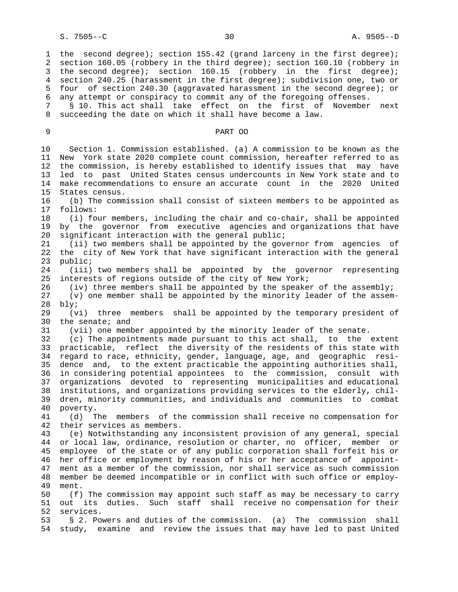1 the second degree); section 155.42 (grand larceny in the first degree); 2 section 160.05 (robbery in the third degree); section 160.10 (robbery in 3 the second degree); section 160.15 (robbery in the first degree); 4 section 240.25 (harassment in the first degree); subdivision one, two or 5 four of section 240.30 (aggravated harassment in the second degree); or 6 any attempt or conspiracy to commit any of the foregoing offenses.

 7 § 10. This act shall take effect on the first of November next 8 succeeding the date on which it shall have become a law.

9 PART OO

 10 Section 1. Commission established. (a) A commission to be known as the 11 New York state 2020 complete count commission, hereafter referred to as 12 the commission, is hereby established to identify issues that may have 13 led to past United States census undercounts in New York state and to 14 make recommendations to ensure an accurate count in the 2020 United 15 States census. 16 (b) The commission shall consist of sixteen members to be appointed as 17 follows: 18 (i) four members, including the chair and co-chair, shall be appointed 19 by the governor from executive agencies and organizations that have 20 significant interaction with the general public; 21 (ii) two members shall be appointed by the governor from agencies of 22 the city of New York that have significant interaction with the general 23 public; 24 (iii) two members shall be appointed by the governor representing 25 interests of regions outside of the city of New York; 26 (iv) three members shall be appointed by the speaker of the assembly; 27 (v) one member shall be appointed by the minority leader of the assem- 28 bly; 29 (vi) three members shall be appointed by the temporary president of 30 the senate; and 31 (vii) one member appointed by the minority leader of the senate. 32 (c) The appointments made pursuant to this act shall, to the extent 33 practicable, reflect the diversity of the residents of this state with 34 regard to race, ethnicity, gender, language, age, and geographic resi- 35 dence and, to the extent practicable the appointing authorities shall, 36 in considering potential appointees to the commission, consult with 37 organizations devoted to representing municipalities and educational 38 institutions, and organizations providing services to the elderly, chil- 39 dren, minority communities, and individuals and communities to combat 40 poverty. 41 (d) The members of the commission shall receive no compensation for 42 their services as members. 43 (e) Notwithstanding any inconsistent provision of any general, special 44 or local law, ordinance, resolution or charter, no officer, member or 45 employee of the state or of any public corporation shall forfeit his or 46 her office or employment by reason of his or her acceptance of appoint- 47 ment as a member of the commission, nor shall service as such commission 48 member be deemed incompatible or in conflict with such office or employ- 49 ment. 50 (f) The commission may appoint such staff as may be necessary to carry 51 out its duties. Such staff shall receive no compensation for their 52 services. 53 § 2. Powers and duties of the commission. (a) The commission shall 54 study, examine and review the issues that may have led to past United